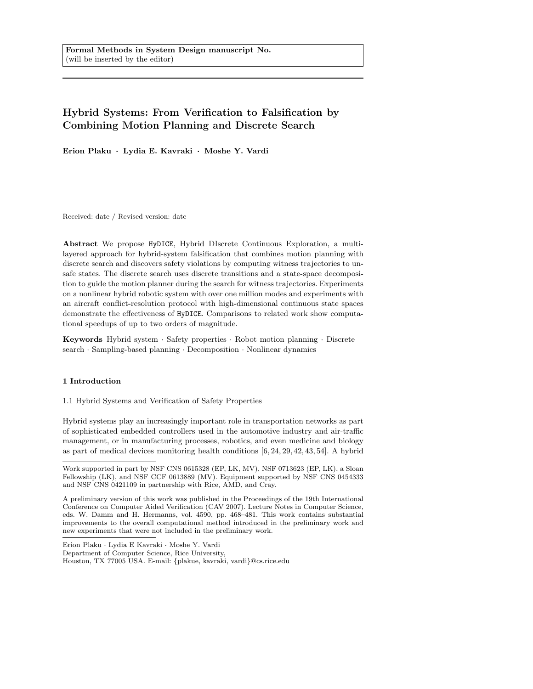# Hybrid Systems: From Verification to Falsification by Combining Motion Planning and Discrete Search

Erion Plaku · Lydia E. Kavraki · Moshe Y. Vardi

Received: date / Revised version: date

Abstract We propose HyDICE, Hybrid DIscrete Continuous Exploration, a multilayered approach for hybrid-system falsification that combines motion planning with discrete search and discovers safety violations by computing witness trajectories to unsafe states. The discrete search uses discrete transitions and a state-space decomposition to guide the motion planner during the search for witness trajectories. Experiments on a nonlinear hybrid robotic system with over one million modes and experiments with an aircraft conflict-resolution protocol with high-dimensional continuous state spaces demonstrate the effectiveness of HyDICE. Comparisons to related work show computational speedups of up to two orders of magnitude.

Keywords Hybrid system · Safety properties · Robot motion planning · Discrete search · Sampling-based planning · Decomposition · Nonlinear dynamics

# 1 Introduction

1.1 Hybrid Systems and Verification of Safety Properties

Hybrid systems play an increasingly important role in transportation networks as part of sophisticated embedded controllers used in the automotive industry and air-traffic management, or in manufacturing processes, robotics, and even medicine and biology as part of medical devices monitoring health conditions [6, 24, 29, 42, 43, 54]. A hybrid

Erion Plaku · Lydia E Kavraki · Moshe Y. Vardi

Department of Computer Science, Rice University,

Houston, TX 77005 USA. E-mail: {plakue, kavraki, vardi}@cs.rice.edu

Work supported in part by NSF CNS 0615328 (EP, LK, MV), NSF 0713623 (EP, LK), a Sloan Fellowship (LK), and NSF CCF 0613889 (MV). Equipment supported by NSF CNS 0454333 and NSF CNS 0421109 in partnership with Rice, AMD, and Cray.

A preliminary version of this work was published in the Proceedings of the 19th International Conference on Computer Aided Verification (CAV 2007). Lecture Notes in Computer Science, eds. W. Damm and H. Hermanns, vol. 4590, pp. 468–481. This work contains substantial improvements to the overall computational method introduced in the preliminary work and new experiments that were not included in the preliminary work.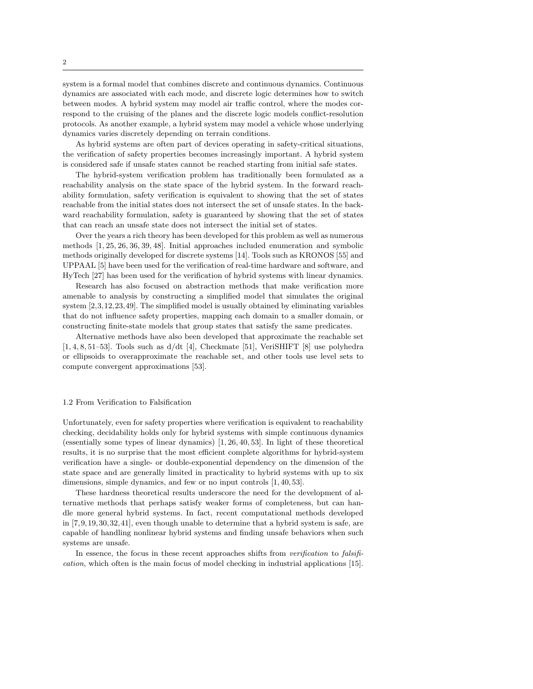system is a formal model that combines discrete and continuous dynamics. Continuous dynamics are associated with each mode, and discrete logic determines how to switch between modes. A hybrid system may model air traffic control, where the modes correspond to the cruising of the planes and the discrete logic models conflict-resolution protocols. As another example, a hybrid system may model a vehicle whose underlying dynamics varies discretely depending on terrain conditions.

As hybrid systems are often part of devices operating in safety-critical situations, the verification of safety properties becomes increasingly important. A hybrid system is considered safe if unsafe states cannot be reached starting from initial safe states.

The hybrid-system verification problem has traditionally been formulated as a reachability analysis on the state space of the hybrid system. In the forward reachability formulation, safety verification is equivalent to showing that the set of states reachable from the initial states does not intersect the set of unsafe states. In the backward reachability formulation, safety is guaranteed by showing that the set of states that can reach an unsafe state does not intersect the initial set of states.

Over the years a rich theory has been developed for this problem as well as numerous methods [1, 25, 26, 36, 39, 48]. Initial approaches included enumeration and symbolic methods originally developed for discrete systems [14]. Tools such as KRONOS [55] and UPPAAL [5] have been used for the verification of real-time hardware and software, and HyTech [27] has been used for the verification of hybrid systems with linear dynamics.

Research has also focused on abstraction methods that make verification more amenable to analysis by constructing a simplified model that simulates the original system [2,3,12,23,49]. The simplified model is usually obtained by eliminating variables that do not influence safety properties, mapping each domain to a smaller domain, or constructing finite-state models that group states that satisfy the same predicates.

Alternative methods have also been developed that approximate the reachable set  $[1, 4, 8, 51–53]$ . Tools such as  $d/dt$  [4], Checkmate [51], VeriSHIFT [8] use polyhedra or ellipsoids to overapproximate the reachable set, and other tools use level sets to compute convergent approximations [53].

## 1.2 From Verification to Falsification

Unfortunately, even for safety properties where verification is equivalent to reachability checking, decidability holds only for hybrid systems with simple continuous dynamics (essentially some types of linear dynamics) [1, 26, 40, 53]. In light of these theoretical results, it is no surprise that the most efficient complete algorithms for hybrid-system verification have a single- or double-exponential dependency on the dimension of the state space and are generally limited in practicality to hybrid systems with up to six dimensions, simple dynamics, and few or no input controls  $[1, 40, 53]$ .

These hardness theoretical results underscore the need for the development of alternative methods that perhaps satisfy weaker forms of completeness, but can handle more general hybrid systems. In fact, recent computational methods developed in [7,9,19,30,32,41], even though unable to determine that a hybrid system is safe, are capable of handling nonlinear hybrid systems and finding unsafe behaviors when such systems are unsafe.

In essence, the focus in these recent approaches shifts from *verification* to *falsifi*cation, which often is the main focus of model checking in industrial applications [15].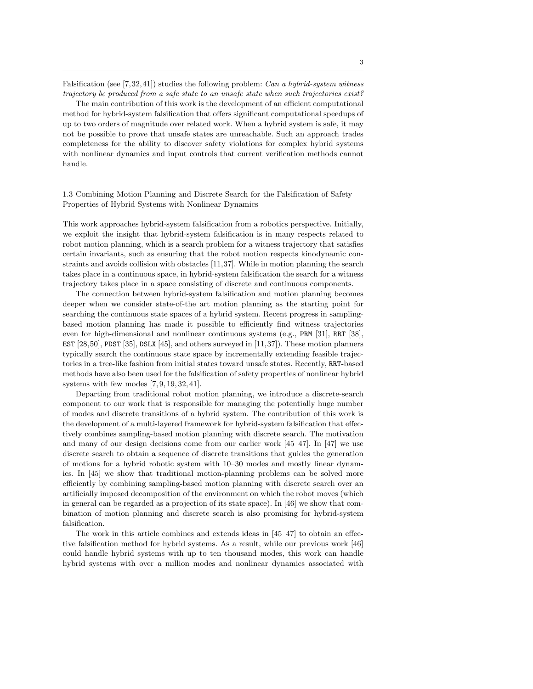Falsification (see [7,32,41]) studies the following problem: Can a hybrid-system witness trajectory be produced from a safe state to an unsafe state when such trajectories exist?

The main contribution of this work is the development of an efficient computational method for hybrid-system falsification that offers significant computational speedups of up to two orders of magnitude over related work. When a hybrid system is safe, it may not be possible to prove that unsafe states are unreachable. Such an approach trades completeness for the ability to discover safety violations for complex hybrid systems with nonlinear dynamics and input controls that current verification methods cannot handle.

1.3 Combining Motion Planning and Discrete Search for the Falsification of Safety Properties of Hybrid Systems with Nonlinear Dynamics

This work approaches hybrid-system falsification from a robotics perspective. Initially, we exploit the insight that hybrid-system falsification is in many respects related to robot motion planning, which is a search problem for a witness trajectory that satisfies certain invariants, such as ensuring that the robot motion respects kinodynamic constraints and avoids collision with obstacles [11,37]. While in motion planning the search takes place in a continuous space, in hybrid-system falsification the search for a witness trajectory takes place in a space consisting of discrete and continuous components.

The connection between hybrid-system falsification and motion planning becomes deeper when we consider state-of-the art motion planning as the starting point for searching the continuous state spaces of a hybrid system. Recent progress in samplingbased motion planning has made it possible to efficiently find witness trajectories even for high-dimensional and nonlinear continuous systems (e.g., PRM [31], RRT [38], EST [28,50], PDST [35], DSLX [45], and others surveyed in [11,37]). These motion planners typically search the continuous state space by incrementally extending feasible trajectories in a tree-like fashion from initial states toward unsafe states. Recently, RRT-based methods have also been used for the falsification of safety properties of nonlinear hybrid systems with few modes  $[7, 9, 19, 32, 41]$ .

Departing from traditional robot motion planning, we introduce a discrete-search component to our work that is responsible for managing the potentially huge number of modes and discrete transitions of a hybrid system. The contribution of this work is the development of a multi-layered framework for hybrid-system falsification that effectively combines sampling-based motion planning with discrete search. The motivation and many of our design decisions come from our earlier work [45–47]. In [47] we use discrete search to obtain a sequence of discrete transitions that guides the generation of motions for a hybrid robotic system with 10–30 modes and mostly linear dynamics. In [45] we show that traditional motion-planning problems can be solved more efficiently by combining sampling-based motion planning with discrete search over an artificially imposed decomposition of the environment on which the robot moves (which in general can be regarded as a projection of its state space). In [46] we show that combination of motion planning and discrete search is also promising for hybrid-system falsification.

The work in this article combines and extends ideas in [45–47] to obtain an effective falsification method for hybrid systems. As a result, while our previous work [46] could handle hybrid systems with up to ten thousand modes, this work can handle hybrid systems with over a million modes and nonlinear dynamics associated with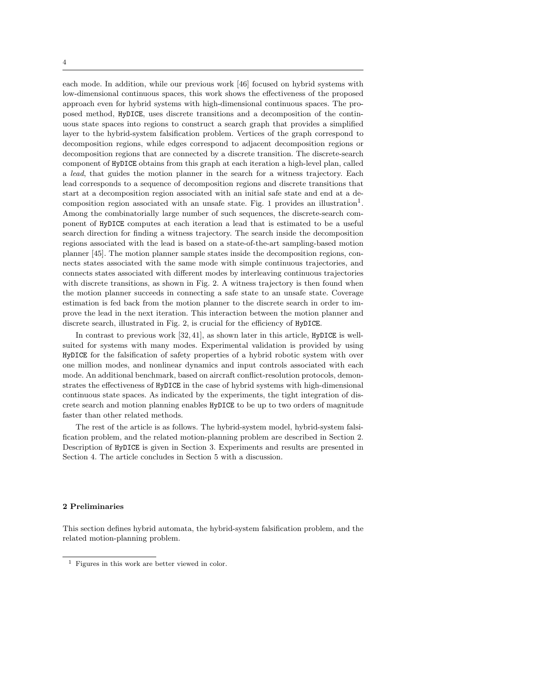each mode. In addition, while our previous work [46] focused on hybrid systems with low-dimensional continuous spaces, this work shows the effectiveness of the proposed approach even for hybrid systems with high-dimensional continuous spaces. The proposed method, HyDICE, uses discrete transitions and a decomposition of the continuous state spaces into regions to construct a search graph that provides a simplified layer to the hybrid-system falsification problem. Vertices of the graph correspond to decomposition regions, while edges correspond to adjacent decomposition regions or decomposition regions that are connected by a discrete transition. The discrete-search component of HyDICE obtains from this graph at each iteration a high-level plan, called a lead, that guides the motion planner in the search for a witness trajectory. Each lead corresponds to a sequence of decomposition regions and discrete transitions that start at a decomposition region associated with an initial safe state and end at a decomposition region associated with an unsafe state. Fig. 1 provides an illustration<sup>1</sup>. Among the combinatorially large number of such sequences, the discrete-search component of HyDICE computes at each iteration a lead that is estimated to be a useful search direction for finding a witness trajectory. The search inside the decomposition regions associated with the lead is based on a state-of-the-art sampling-based motion planner [45]. The motion planner sample states inside the decomposition regions, connects states associated with the same mode with simple continuous trajectories, and connects states associated with different modes by interleaving continuous trajectories with discrete transitions, as shown in Fig. 2. A witness trajectory is then found when the motion planner succeeds in connecting a safe state to an unsafe state. Coverage estimation is fed back from the motion planner to the discrete search in order to improve the lead in the next iteration. This interaction between the motion planner and discrete search, illustrated in Fig. 2, is crucial for the efficiency of HyDICE.

In contrast to previous work [32, 41], as shown later in this article, HyDICE is wellsuited for systems with many modes. Experimental validation is provided by using HyDICE for the falsification of safety properties of a hybrid robotic system with over one million modes, and nonlinear dynamics and input controls associated with each mode. An additional benchmark, based on aircraft conflict-resolution protocols, demonstrates the effectiveness of HyDICE in the case of hybrid systems with high-dimensional continuous state spaces. As indicated by the experiments, the tight integration of discrete search and motion planning enables HyDICE to be up to two orders of magnitude faster than other related methods.

The rest of the article is as follows. The hybrid-system model, hybrid-system falsification problem, and the related motion-planning problem are described in Section 2. Description of HyDICE is given in Section 3. Experiments and results are presented in Section 4. The article concludes in Section 5 with a discussion.

## 2 Preliminaries

This section defines hybrid automata, the hybrid-system falsification problem, and the related motion-planning problem.

<sup>1</sup> Figures in this work are better viewed in color.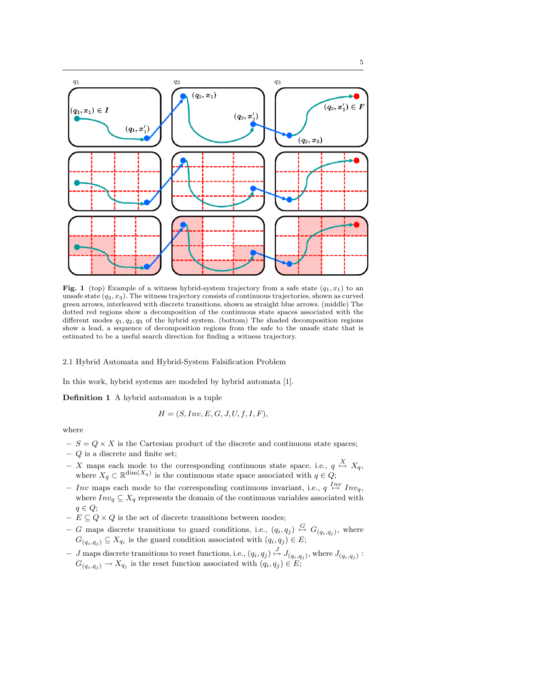

Fig. 1 (top) Example of a witness hybrid-system trajectory from a safe state  $(q_1, x_1)$  to an unsafe state  $(q_3, x_3)$ . The witness trajectory consists of continuous trajectories, shown as curved green arrows, interleaved with discrete transitions, shown as straight blue arrows. (middle) The dotted red regions show a decomposition of the continuous state spaces associated with the different modes  $q_1, q_2, q_3$  of the hybrid system. (bottom) The shaded decomposition regions show a lead, a sequence of decomposition regions from the safe to the unsafe state that is estimated to be a useful search direction for finding a witness trajectory.

2.1 Hybrid Automata and Hybrid-System Falsification Problem

In this work, hybrid systems are modeled by hybrid automata [1].

Definition 1 A hybrid automaton is a tuple

$$
H = (S, Inv, E, G, J, U, f, I, F), \quad
$$

where

- $-S = Q \times X$  is the Cartesian product of the discrete and continuous state spaces;
- $-$  Q is a discrete and finite set;
- X maps each mode to the corresponding continuous state space, i.e.,  $q \stackrel{X}{\mapsto} X_q$ , where  $X_q \subset \mathbb{R}^{\dim(X_q)}$  is the continuous state space associated with  $q \in Q$ ;
- Inv maps each mode to the corresponding continuous invariant, i.e.,  $q \stackrel{Inv}{\mapsto} Inv_q$ , where  $Inv_q \subseteq X_q$  represents the domain of the continuous variables associated with  $q \in Q$ ;
- $E \subseteq Q \times Q$  is the set of discrete transitions between modes;
- G maps discrete transitions to guard conditions, i.e.,  $(q_i, q_j) \stackrel{G}{\mapsto} G_{(q_i, q_j)}$ , where  $G_{(q_i,q_j)} \subseteq X_{q_i}$  is the guard condition associated with  $(q_i, q_j) \in E$ ;
- $-$  J maps discrete transitions to reset functions, i.e.,  $(q_i, q_j) \stackrel{J}{\mapsto} J_{(q_i, q_j)}$ , where  $J_{(q_i, q_j)}$ :  $G_{(q_i,q_j)} \to X_{q_j}$  is the reset function associated with  $(q_i, q_j) \in E;$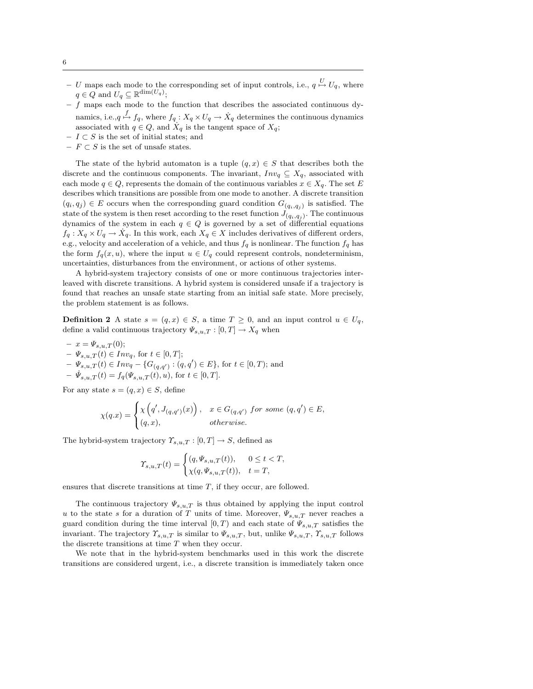- $U$  maps each mode to the corresponding set of input controls, i.e.,  $q \stackrel{U}{\mapsto} U_q$ , where  $q \in Q$  and  $U_q \subseteq \mathbb{R}^{\dim(U_q)}$ ;
- $-$  f maps each mode to the function that describes the associated continuous dynamics, i.e., $q \stackrel{f}{\mapsto} f_q$ , where  $f_q: X_q \times U_q \to X_q$  determines the continuous dynamics associated with  $q \in Q$ , and  $\dot{X}_q$  is the tangent space of  $X_q$ ;
- $I \subset S$  is the set of initial states; and
- $− F ⊂ S$  is the set of unsafe states.

The state of the hybrid automaton is a tuple  $(q, x) \in S$  that describes both the discrete and the continuous components. The invariant,  $Inv_q \subseteq X_q$ , associated with each mode  $q \in Q$ , represents the domain of the continuous variables  $x \in X_q$ . The set E describes which transitions are possible from one mode to another. A discrete transition  $(q_i, q_j) \in E$  occurs when the corresponding guard condition  $G_{(q_i, q_j)}$  is satisfied. The state of the system is then reset according to the reset function  $J_{(q_i,q_j)}$ . The continuous dynamics of the system in each  $q \in Q$  is governed by a set of differential equations  $f_q: X_q \times U_q \to \dot{X}_q$ . In this work, each  $X_q \in X$  includes derivatives of different orders, e.g., velocity and acceleration of a vehicle, and thus  $f_q$  is nonlinear. The function  $f_q$  has the form  $f_q(x, u)$ , where the input  $u \in U_q$  could represent controls, nondeterminism, uncertainties, disturbances from the environment, or actions of other systems.

A hybrid-system trajectory consists of one or more continuous trajectories interleaved with discrete transitions. A hybrid system is considered unsafe if a trajectory is found that reaches an unsafe state starting from an initial safe state. More precisely, the problem statement is as follows.

**Definition 2** A state  $s = (q, x) \in S$ , a time  $T \geq 0$ , and an input control  $u \in U_q$ , define a valid continuous trajectory  $\Psi_{s,u,T} : [0,T] \to X_q$  when

 $- x = \Psi_{s,u,T}(0);$  $-\Psi_{s,u,T}(t) \in Inv_q,$  for  $t \in [0,T];$  $- \Psi_{s,u,T}(t) \in Inv_q - \{G_{(q,q')} : (q,q') \in E\}$ , for  $t \in [0,T)$ ; and  $- \dot{\Psi}_{s,u,T}(t) = f_q(\Psi_{s,u,T}(t), u),$  for  $t \in [0,T]$ .

For any state  $s = (q, x) \in S$ , define

$$
\chi(q.x) = \begin{cases} \chi(q', J_{(q,q')}(x)) , & x \in G_{(q,q')} \text{ for some } (q,q') \in E, \\ (q,x), & otherwise. \end{cases}
$$

The hybrid-system trajectory  $\Upsilon_{s,u,T} : [0,T] \to S$ , defined as

$$
\varUpsilon_{s,u,T}(t) = \begin{cases} (q, \Psi_{s,u,T}(t)), & 0 \le t < T, \\ \chi(q, \Psi_{s,u,T}(t)), & t = T, \end{cases}
$$

ensures that discrete transitions at time  $T$ , if they occur, are followed.

The continuous trajectory  $\Psi_{s,u,T}$  is thus obtained by applying the input control u to the state s for a duration of T units of time. Moreover,  $\Psi_{s,u,T}$  never reaches a guard condition during the time interval  $[0, T)$  and each state of  $\Psi_{s,u,T}$  satisfies the invariant. The trajectory  $\mathcal{T}_{s,u,T}$  is similar to  $\Psi_{s,u,T}$ , but, unlike  $\Psi_{s,u,T}$ ,  $\mathcal{T}_{s,u,T}$  follows the discrete transitions at time  $T$  when they occur.

We note that in the hybrid-system benchmarks used in this work the discrete transitions are considered urgent, i.e., a discrete transition is immediately taken once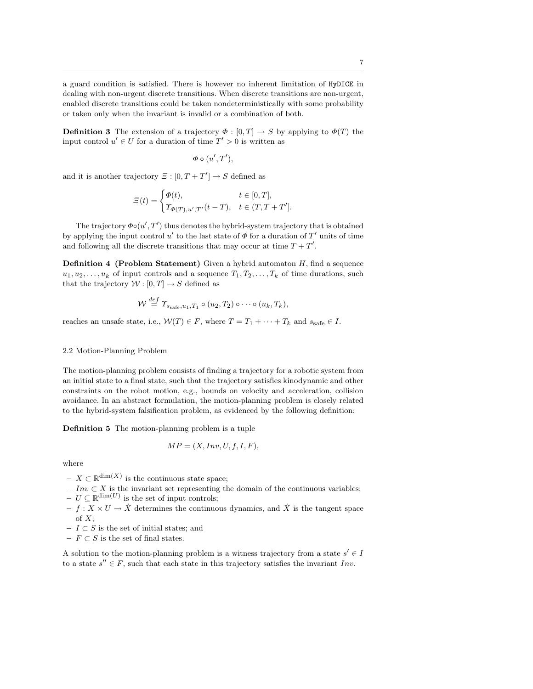a guard condition is satisfied. There is however no inherent limitation of HyDICE in dealing with non-urgent discrete transitions. When discrete transitions are non-urgent, enabled discrete transitions could be taken nondeterministically with some probability or taken only when the invariant is invalid or a combination of both.

**Definition 3** The extension of a trajectory  $\Phi : [0, T] \to S$  by applying to  $\Phi(T)$  the input control  $u' \in U$  for a duration of time  $T' > 0$  is written as

$$
\Phi\circ (u',T'),
$$

and it is another trajectory  $\mathcal{Z} : [0, T + T'] \to S$  defined as

$$
\varXi(t) = \begin{cases} \varPhi(t), & t \in [0, T], \\ \Upsilon_{\varPhi(T), u', T'}(t - T), & t \in (T, T + T'].\end{cases}
$$

The trajectory  $\Phi \circ (u', T')$  thus denotes the hybrid-system trajectory that is obtained by applying the input control u' to the last state of  $\Phi$  for a duration of  $T'$  units of time and following all the discrete transitions that may occur at time  $T + T'$ .

**Definition 4 (Problem Statement)** Given a hybrid automaton  $H$ , find a sequence  $u_1, u_2, \ldots, u_k$  of input controls and a sequence  $T_1, T_2, \ldots, T_k$  of time durations, such that the trajectory  $W : [0, T] \to S$  defined as

$$
\mathcal{W} \stackrel{def}{=} \Upsilon_{s_{\text{safe}}, u_1, T_1} \circ (u_2, T_2) \circ \cdots \circ (u_k, T_k),
$$

reaches an unsafe state, i.e.,  $W(T) \in F$ , where  $T = T_1 + \cdots + T_k$  and  $s_{\text{safe}} \in I$ .

# 2.2 Motion-Planning Problem

The motion-planning problem consists of finding a trajectory for a robotic system from an initial state to a final state, such that the trajectory satisfies kinodynamic and other constraints on the robot motion, e.g., bounds on velocity and acceleration, collision avoidance. In an abstract formulation, the motion-planning problem is closely related to the hybrid-system falsification problem, as evidenced by the following definition:

Definition 5 The motion-planning problem is a tuple

$$
MP = (X, Inv, U, f, I, F),
$$

where

 $- X \subset \mathbb{R}^{\dim(X)}$  is the continuous state space;

– Inv ⊂ X is the invariant set representing the domain of the continuous variables;

- $U \subseteq \mathbb{R}^{\dim(U)}$  is the set of input controls;
- $f : X \times U \to \dot{X}$  determines the continuous dynamics, and  $\dot{X}$  is the tangent space of  $X$ ;
- $− I ⊂ S$  is the set of initial states; and

 $− F ⊂ S$  is the set of final states.

A solution to the motion-planning problem is a witness trajectory from a state  $s' \in I$ to a state  $s'' \in F$ , such that each state in this trajectory satisfies the invariant Inv.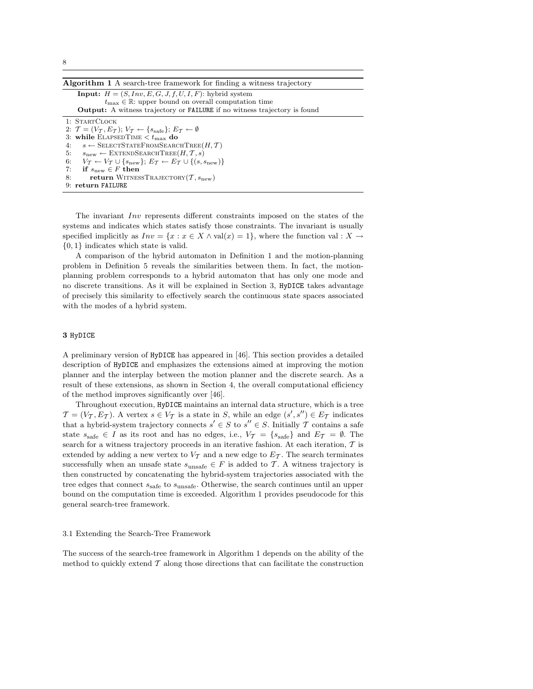| Algorithm 1 A search-tree framework for finding a witness trajectory |  |  |  |  |  |  |  |  |
|----------------------------------------------------------------------|--|--|--|--|--|--|--|--|
|----------------------------------------------------------------------|--|--|--|--|--|--|--|--|

| <b>Input:</b> $H = (S, Inv, E, G, J, f, U, I, F)$ : hybrid system<br>$t_{\text{max}} \in \mathbb{R}$ : upper bound on overall computation time<br><b>Output:</b> A witness trajectory or <b>FAILURE</b> if no witness trajectory is found                                                                                                                                                                                                                                                                                                                                                              |  |
|--------------------------------------------------------------------------------------------------------------------------------------------------------------------------------------------------------------------------------------------------------------------------------------------------------------------------------------------------------------------------------------------------------------------------------------------------------------------------------------------------------------------------------------------------------------------------------------------------------|--|
| 1: STARTCLOCK<br>2: $\mathcal{T} = (V_{\mathcal{T}}, E_{\mathcal{T}}); V_{\mathcal{T}} \leftarrow \{s_{\text{safe}}\}; E_{\mathcal{T}} \leftarrow \emptyset$<br>3: while ELAPSEDTIME $\lt t_{\max}$ do<br>$s \leftarrow$ SELECTSTATEFROMSEARCHTREE( <i>H</i> , <i>T</i> )<br>4:<br>$s_{\text{new}} \leftarrow$ EXTENDSEARCHTREE $(H, \mathcal{T}, s)$<br>5.<br>6: $V_T \leftarrow V_T \cup \{s_{\text{new}}\}; E_T \leftarrow E_T \cup \{(s, s_{\text{new}})\}\$<br>if $s_{\text{new}} \in F$ then<br>7:<br><b>return</b> WITNESSTRAJECTORY $(\mathcal{T}, s_{\text{new}})$<br>8.<br>9. return FAILURE |  |
|                                                                                                                                                                                                                                                                                                                                                                                                                                                                                                                                                                                                        |  |

The invariant Inv represents different constraints imposed on the states of the systems and indicates which states satisfy those constraints. The invariant is usually specified implicitly as  $Inv = \{x : x \in X \land val(x) = 1\}$ , where the function val :  $X \to$ {0, 1} indicates which state is valid.

A comparison of the hybrid automaton in Definition 1 and the motion-planning problem in Definition 5 reveals the similarities between them. In fact, the motionplanning problem corresponds to a hybrid automaton that has only one mode and no discrete transitions. As it will be explained in Section 3, HyDICE takes advantage of precisely this similarity to effectively search the continuous state spaces associated with the modes of a hybrid system.

# 3 HyDICE

A preliminary version of HyDICE has appeared in [46]. This section provides a detailed description of HyDICE and emphasizes the extensions aimed at improving the motion planner and the interplay between the motion planner and the discrete search. As a result of these extensions, as shown in Section 4, the overall computational efficiency of the method improves significantly over [46].

Throughout execution, HyDICE maintains an internal data structure, which is a tree  $\mathcal{T} = (V_{\mathcal{T}}, E_{\mathcal{T}})$ . A vertex  $s \in V_{\mathcal{T}}$  is a state in S, while an edge  $(s', s'') \in E_{\mathcal{T}}$  indicates that a hybrid-system trajectory connects  $s' \in S$  to  $s'' \in S$ . Initially  $\mathcal T$  contains a safe state  $s_{\text{safe}} \in I$  as its root and has no edges, i.e.,  $V_{\mathcal{T}} = \{s_{\text{safe}}\}$  and  $E_{\mathcal{T}} = \emptyset$ . The search for a witness trajectory proceeds in an iterative fashion. At each iteration,  $T$  is extended by adding a new vertex to  $V<sub>T</sub>$  and a new edge to  $E<sub>T</sub>$ . The search terminates successfully when an unsafe state  $s_{\text{unsafe}} \in F$  is added to T. A witness trajectory is then constructed by concatenating the hybrid-system trajectories associated with the tree edges that connect  $s_{\text{safe}}$  to  $s_{\text{unsafe}}$ . Otherwise, the search continues until an upper bound on the computation time is exceeded. Algorithm 1 provides pseudocode for this general search-tree framework.

## 3.1 Extending the Search-Tree Framework

The success of the search-tree framework in Algorithm 1 depends on the ability of the method to quickly extend  $T$  along those directions that can facilitate the construction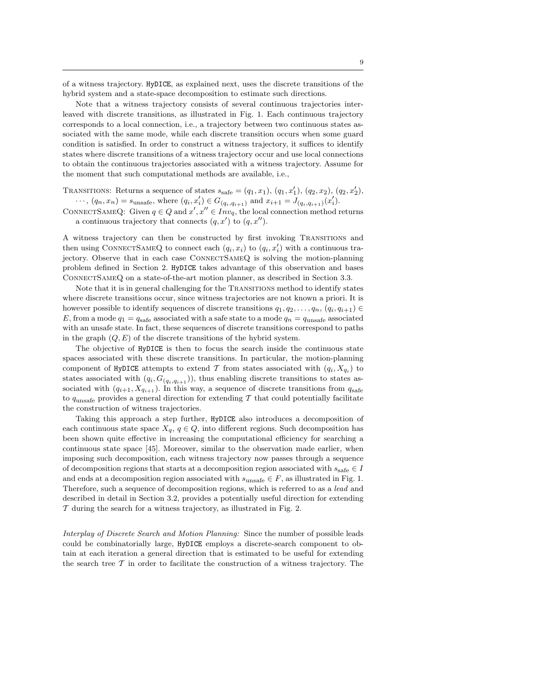of a witness trajectory. HyDICE, as explained next, uses the discrete transitions of the hybrid system and a state-space decomposition to estimate such directions.

Note that a witness trajectory consists of several continuous trajectories interleaved with discrete transitions, as illustrated in Fig. 1. Each continuous trajectory corresponds to a local connection, i.e., a trajectory between two continuous states associated with the same mode, while each discrete transition occurs when some guard condition is satisfied. In order to construct a witness trajectory, it suffices to identify states where discrete transitions of a witness trajectory occur and use local connections to obtain the continuous trajectories associated with a witness trajectory. Assume for the moment that such computational methods are available, i.e.,

TRANSITIONS: Returns a sequence of states  $s_{\text{safe}} = (q_1, x_1), (q_1, x'_1), (q_2, x_2), (q_2, x'_2),$  $\cdots$ ,  $(q_n, x_n) = s_{\text{unsafe}}$ , where  $(q_i, x'_i) \in G_{(q_i, q_{i+1})}$  and  $x_{i+1} = J_{(q_i, q_{i+1})}(x'_i)$ .

CONNECTSAMEQ: Given  $q \in Q$  and  $x', x'' \in Inv_q$ , the local connection method returns a continuous trajectory that connects  $(q, x')$  to  $(q, x'')$ .

A witness trajectory can then be constructed by first invoking Transitions and then using CONNECTSAMEQ to connect each  $(q_i, x_i)$  to  $(q_i, x'_i)$  with a continuous trajectory. Observe that in each case CONNECTSAMEQ is solving the motion-planning problem defined in Section 2. HyDICE takes advantage of this observation and bases ConnectSameQ on a state-of-the-art motion planner, as described in Section 3.3.

Note that it is in general challenging for the Transitions method to identify states where discrete transitions occur, since witness trajectories are not known a priori. It is however possible to identify sequences of discrete transitions  $q_1, q_2, \ldots, q_n$ ,  $(q_i, q_{i+1}) \in$ E, from a mode  $q_1 = q_{\text{safe}}$  associated with a safe state to a mode  $q_n = q_{\text{unsafe}}$  associated with an unsafe state. In fact, these sequences of discrete transitions correspond to paths in the graph  $(Q, E)$  of the discrete transitions of the hybrid system.

The objective of HyDICE is then to focus the search inside the continuous state spaces associated with these discrete transitions. In particular, the motion-planning component of HyDICE attempts to extend  $\mathcal T$  from states associated with  $(q_i, X_{q_i})$  to states associated with  $(q_i, G_{(q_i,q_{i+1})})$ , thus enabling discrete transitions to states associated with  $(q_{i+1}, X_{q_{i+1}})$ . In this way, a sequence of discrete transitions from  $q_{\text{safe}}$ to  $q_{\text{unsafe}}$  provides a general direction for extending T that could potentially facilitate the construction of witness trajectories.

Taking this approach a step further, HyDICE also introduces a decomposition of each continuous state space  $X_q$ ,  $q \in Q$ , into different regions. Such decomposition has been shown quite effective in increasing the computational efficiency for searching a continuous state space [45]. Moreover, similar to the observation made earlier, when imposing such decomposition, each witness trajectory now passes through a sequence of decomposition regions that starts at a decomposition region associated with  $s_{\text{safe}} \in I$ and ends at a decomposition region associated with  $s_{\text{unsafe}} \in F$ , as illustrated in Fig. 1. Therefore, such a sequence of decomposition regions, which is referred to as a lead and described in detail in Section 3.2, provides a potentially useful direction for extending  $\mathcal T$  during the search for a witness trajectory, as illustrated in Fig. 2.

Interplay of Discrete Search and Motion Planning: Since the number of possible leads could be combinatorially large, HyDICE employs a discrete-search component to obtain at each iteration a general direction that is estimated to be useful for extending the search tree  $T$  in order to facilitate the construction of a witness trajectory. The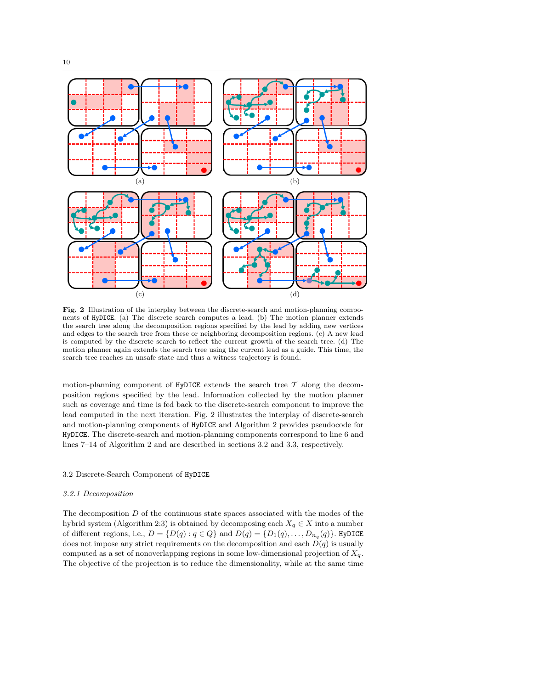

Fig. 2 Illustration of the interplay between the discrete-search and motion-planning components of HyDICE. (a) The discrete search computes a lead. (b) The motion planner extends the search tree along the decomposition regions specified by the lead by adding new vertices and edges to the search tree from these or neighboring decomposition regions. (c) A new lead is computed by the discrete search to reflect the current growth of the search tree. (d) The motion planner again extends the search tree using the current lead as a guide. This time, the search tree reaches an unsafe state and thus a witness trajectory is found.

motion-planning component of  $HypICE$  extends the search tree  $T$  along the decomposition regions specified by the lead. Information collected by the motion planner such as coverage and time is fed back to the discrete-search component to improve the lead computed in the next iteration. Fig. 2 illustrates the interplay of discrete-search and motion-planning components of HyDICE and Algorithm 2 provides pseudocode for HyDICE. The discrete-search and motion-planning components correspond to line 6 and lines 7–14 of Algorithm 2 and are described in sections 3.2 and 3.3, respectively.

#### 3.2 Discrete-Search Component of HyDICE

#### 3.2.1 Decomposition

The decomposition  $D$  of the continuous state spaces associated with the modes of the hybrid system (Algorithm 2:3) is obtained by decomposing each  $X_q \in X$  into a number of different regions, i.e.,  $D = \{D(q) : q \in Q\}$  and  $D(q) = \{D_1(q), \ldots, D_{n_q}(q)\}$ . HyDICE does not impose any strict requirements on the decomposition and each  $D(q)$  is usually computed as a set of nonoverlapping regions in some low-dimensional projection of  $X_q$ . The objective of the projection is to reduce the dimensionality, while at the same time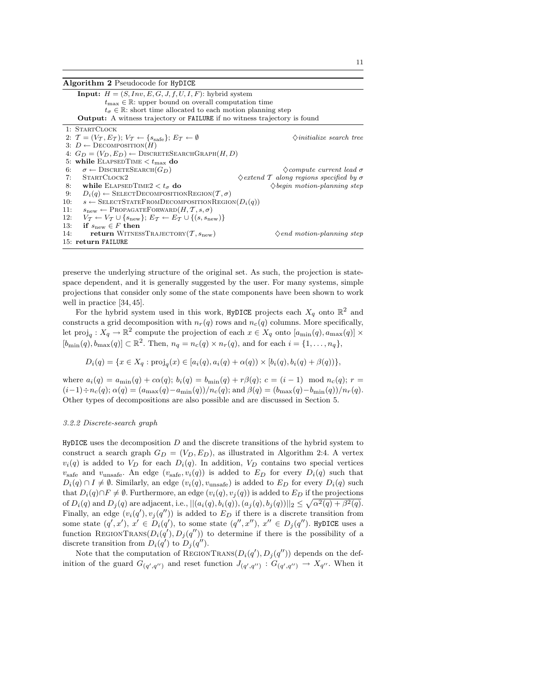#### Algorithm 2 Pseudocode for HyDICE

| <b>Input:</b> $H = (S, Inv, E, G, J, f, U, I, F)$ : hybrid system                       |                                                                                                                                                                                                                                                                                                                                                                                                                                                                                               |  |  |  |  |  |  |
|-----------------------------------------------------------------------------------------|-----------------------------------------------------------------------------------------------------------------------------------------------------------------------------------------------------------------------------------------------------------------------------------------------------------------------------------------------------------------------------------------------------------------------------------------------------------------------------------------------|--|--|--|--|--|--|
| $t_{\text{max}} \in \mathbb{R}$ : upper bound on overall computation time               |                                                                                                                                                                                                                                                                                                                                                                                                                                                                                               |  |  |  |  |  |  |
| $t_{\sigma} \in \mathbb{R}$ : short time allocated to each motion planning step         |                                                                                                                                                                                                                                                                                                                                                                                                                                                                                               |  |  |  |  |  |  |
| <b>Output:</b> A witness trajectory or <b>FAILURE</b> if no witness trajectory is found |                                                                                                                                                                                                                                                                                                                                                                                                                                                                                               |  |  |  |  |  |  |
|                                                                                         |                                                                                                                                                                                                                                                                                                                                                                                                                                                                                               |  |  |  |  |  |  |
|                                                                                         | $\Diamond$ <i>initialize search tree</i>                                                                                                                                                                                                                                                                                                                                                                                                                                                      |  |  |  |  |  |  |
|                                                                                         |                                                                                                                                                                                                                                                                                                                                                                                                                                                                                               |  |  |  |  |  |  |
|                                                                                         |                                                                                                                                                                                                                                                                                                                                                                                                                                                                                               |  |  |  |  |  |  |
|                                                                                         |                                                                                                                                                                                                                                                                                                                                                                                                                                                                                               |  |  |  |  |  |  |
| $\sigma \leftarrow$ DISCRETESEARCH $(G_D)$                                              | $\Diamond compute$ current lead $\sigma$                                                                                                                                                                                                                                                                                                                                                                                                                                                      |  |  |  |  |  |  |
| STARTCLOCK2                                                                             | $\Diamond$ extend T along regions specified by $\sigma$                                                                                                                                                                                                                                                                                                                                                                                                                                       |  |  |  |  |  |  |
| while ELAPSEDTIME $2 < t_{\sigma}$ do                                                   | $\Diamond$ begin motion-planning step                                                                                                                                                                                                                                                                                                                                                                                                                                                         |  |  |  |  |  |  |
| $D_i(q) \leftarrow$ SELECT DECOMPOSITION REGION $(\mathcal{T}, \sigma)$                 |                                                                                                                                                                                                                                                                                                                                                                                                                                                                                               |  |  |  |  |  |  |
| $s \leftarrow$ SELECTSTATEFROMDECOMPOSITION REGION $(D_i(q))$                           |                                                                                                                                                                                                                                                                                                                                                                                                                                                                                               |  |  |  |  |  |  |
| $s_{\text{new}} \leftarrow \text{PROPAGATEFORMARD}(H, \mathcal{T}, s, \sigma)$          |                                                                                                                                                                                                                                                                                                                                                                                                                                                                                               |  |  |  |  |  |  |
|                                                                                         |                                                                                                                                                                                                                                                                                                                                                                                                                                                                                               |  |  |  |  |  |  |
| if $s_{\text{new}} \in F$ then                                                          |                                                                                                                                                                                                                                                                                                                                                                                                                                                                                               |  |  |  |  |  |  |
| <b>return</b> WITNESSTRAJECTORY $(\mathcal{T}, s_{\text{new}})$                         | $\Diamond$ end motion-planning step                                                                                                                                                                                                                                                                                                                                                                                                                                                           |  |  |  |  |  |  |
|                                                                                         |                                                                                                                                                                                                                                                                                                                                                                                                                                                                                               |  |  |  |  |  |  |
| 6:<br>9:<br>14:                                                                         | 1: STARTCLOCK<br>2: $\mathcal{T} = (V_{\mathcal{T}}, E_{\mathcal{T}}); V_{\mathcal{T}} \leftarrow \{s_{\text{safe}}\}; E_{\mathcal{T}} \leftarrow \emptyset$<br>3: $D \leftarrow$ DECOMPOSITION( <i>H</i> )<br>4: $G_D = (V_D, E_D) \leftarrow$ DISCRETESEARCH GRAPH $(H, D)$<br>5: while ELAPSEDTIME $\lt t_{\text{max}}$ do<br>7:<br>8:<br>10:<br>11:<br>$V_T \leftarrow V_T \cup \{s_{\text{new}}\}; E_T \leftarrow E_T \cup \{(s, s_{\text{new}})\}\$<br>12:<br>13:<br>15: return FAILURE |  |  |  |  |  |  |

preserve the underlying structure of the original set. As such, the projection is statespace dependent, and it is generally suggested by the user. For many systems, simple projections that consider only some of the state components have been shown to work well in practice [34, 45].

For the hybrid system used in this work, HyDICE projects each  $X_q$  onto  $\mathbb{R}^2$  and constructs a grid decomposition with  $n_r(q)$  rows and  $n_c(q)$  columns. More specifically, let  $\text{proj}_q: X_q \to \mathbb{R}^2$  compute the projection of each  $x \in X_q$  onto  $[a_{\min}(q), a_{\max}(q)] \times$  $[b_{\min}(q), b_{\max}(q)] \subset \mathbb{R}^2$ . Then,  $n_q = n_c(q) \times n_r(q)$ , and for each  $i = \{1, \ldots, n_q\}$ ,

$$
D_i(q) = \{ x \in X_q : \text{proj}_q(x) \in [a_i(q), a_i(q) + \alpha(q)) \times [b_i(q), b_i(q) + \beta(q)] \},
$$

where  $a_i(q) = a_{\min}(q) + c\alpha(q)$ ;  $b_i(q) = b_{\min}(q) + r\beta(q)$ ;  $c = (i - 1) \mod n_c(q)$ ;  $r =$  $(i-1)$ ÷ $n_c(q)$ ;  $\alpha(q) = (a_{\text{max}}(q) - a_{\text{min}}(q))/n_c(q)$ ; and  $\beta(q) = (b_{\text{max}}(q) - b_{\text{min}}(q))/n_r(q)$ . Other types of decompositions are also possible and are discussed in Section 5.

#### 3.2.2 Discrete-search graph

 $HyDICE$  uses the decomposition  $D$  and the discrete transitions of the hybrid system to construct a search graph  $G_D = (V_D, E_D)$ , as illustrated in Algorithm 2:4. A vertex  $v_i(q)$  is added to  $V_D$  for each  $D_i(q)$ . In addition,  $V_D$  contains two special vertices  $v_{\text{safe}}$  and  $v_{\text{unsafe}}$ . An edge  $(v_{\text{safe}}, v_i(q))$  is added to  $E_D$  for every  $D_i(q)$  such that  $D_i(q) \cap I \neq \emptyset$ . Similarly, an edge  $(v_i(q), v_{\text{unsafe}})$  is added to  $E_D$  for every  $D_i(q)$  such that  $D_i(q) \cap F \neq \emptyset$ . Furthermore, an edge  $(v_i(q), v_j(q))$  is added to  $E_D$  if the projections of  $D_i(q)$  and  $D_j(q)$  are adjacent, i.e.,  $||(a_i(q), b_i(q)), (a_j(q), b_j(q))||_2 \leq \sqrt{\alpha^2(q) + \beta^2(q)}.$ Finally, an edge  $(v_i(q'), v_j(q''))$  is added to  $E_D$  if there is a discrete transition from some state  $(q', x')$ ,  $x' \in D_i(q')$ , to some state  $(q'', x'')$ ,  $x'' \in D_j(q'')$ . HyDICE uses a function REGIONTRANS $(D_i(q'), D_j(q''))$  to determine if there is the possibility of a discrete transition from  $D_i(q')$  to  $D_j(q'')$ .

Note that the computation of REGIONTRANS $(D_i(q'), D_j(q''))$  depends on the definition of the guard  $G_{(q',q'')}$  and reset function  $J_{(q',q'')} : G_{(q',q'')} \to X_{q''}$ . When it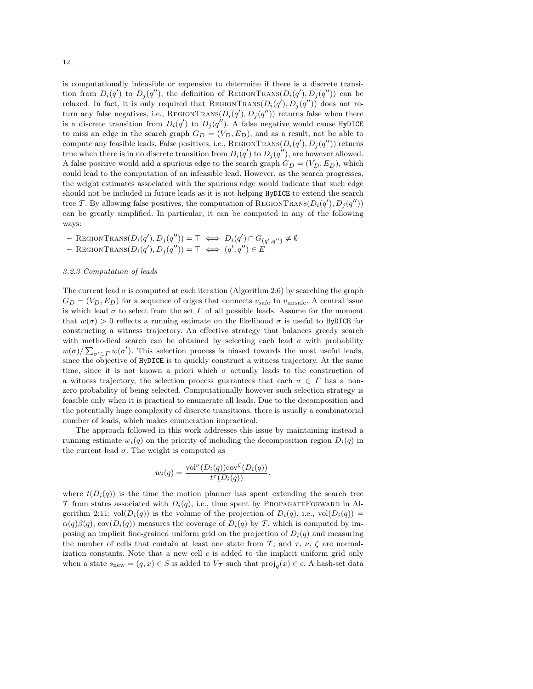is computationally infeasible or expensive to determine if there is a discrete transition from  $D_i(q')$  to  $D_j(q'')$ , the definition of REGIONTRANS $(D_i(q'), D_j(q''))$  can be relaxed. In fact, it is only required that REGIONTRANS $(D_i(q'), D_j(q''))$  does not return any false negatives, i.e., REGIONTRANS $(D_i(q'), D_j(q''))$  returns false when there is a discrete transition from  $D_i(q')$  to  $D_j(q'')$ . A false negative would cause HyDICE to miss an edge in the search graph  $G_D = (V_D, E_D)$ , and as a result, not be able to compute any feasible leads. False positives, i.e., REGIONTRANS $(D_i(q'), D_j(q''))$  returns true when there is in no discrete transition from  $D_i(q')$  to  $D_j(q'')$ , are however allowed. A false positive would add a spurious edge to the search graph  $G_D = (V_D, E_D)$ , which could lead to the computation of an infeasible lead. However, as the search progresses, the weight estimates associated with the spurious edge would indicate that such edge should not be included in future leads as it is not helping HyDICE to extend the search tree T. By allowing false positives, the computation of REGIONTRANS $(D_i(q'), D_j(q''))$ can be greatly simplified. In particular, it can be computed in any of the following ways:

- $-$  REGIONTRANS $(D_i(q'), D_j(q'')) = \top \iff D_i(q') \cap G_{(q',q'')} \neq \emptyset$
- $-$  RegionTrans $(D_i(q'), D_j(q'')) = \top \iff (q', q'') \in E$

# 3.2.3 Computation of leads

The current lead  $\sigma$  is computed at each iteration (Algorithm 2:6) by searching the graph  $G_D = (V_D, E_D)$  for a sequence of edges that connects  $v_{\text{safe}}$  to  $v_{\text{unsafe}}$ . A central issue is which lead  $\sigma$  to select from the set  $\Gamma$  of all possible leads. Assume for the moment that  $w(\sigma) > 0$  reflects a running estimate on the likelihood  $\sigma$  is useful to HyDICE for constructing a witness trajectory. An effective strategy that balances greedy search with methodical search can be obtained by selecting each lead  $\sigma$  with probability  $w(\sigma) / \sum_{\sigma' \in \Gamma} w(\sigma')$ . This selection process is biased towards the most useful leads, since the objective of HyDICE is to quickly construct a witness trajectory. At the same time, since it is not known a priori which  $\sigma$  actually leads to the construction of a witness trajectory, the selection process guarantees that each  $\sigma \in \Gamma$  has a nonzero probability of being selected. Computationally however such selection strategy is feasible only when it is practical to enumerate all leads. Due to the decomposition and the potentially huge complexity of discrete transitions, there is usually a combinatorial number of leads, which makes enumeration impractical.

The approach followed in this work addresses this issue by maintaining instead a running estimate  $w_i(q)$  on the priority of including the decomposition region  $D_i(q)$  in the current lead  $\sigma$ . The weight is computed as

$$
w_i(q) = \frac{\text{vol}^{\nu}(D_i(q))\text{cov}^{\zeta}(D_i(q))}{t^{\tau}(D_i(q))},
$$

where  $t(D_i(q))$  is the time the motion planner has spent extending the search tree T from states associated with  $D_i(q)$ , i.e., time spent by PROPAGATEFORWARD in Algorithm 2:11; vol $(D_i(q))$  is the volume of the projection of  $D_i(q)$ , i.e., vol $(D_i(q))$  =  $\alpha(q)\beta(q)$ ; cov $(D_i(q))$  measures the coverage of  $D_i(q)$  by T, which is computed by imposing an implicit fine-grained uniform grid on the projection of  $D_i(q)$  and measuring the number of cells that contain at least one state from T; and  $\tau$ ,  $\nu$ ,  $\zeta$  are normalization constants. Note that a new cell  $c$  is added to the implicit uniform grid only when a state  $s_{\text{new}} = (q, x) \in S$  is added to  $V_{\mathcal{T}}$  such that  $\text{proj}_q(x) \in c$ . A hash-set data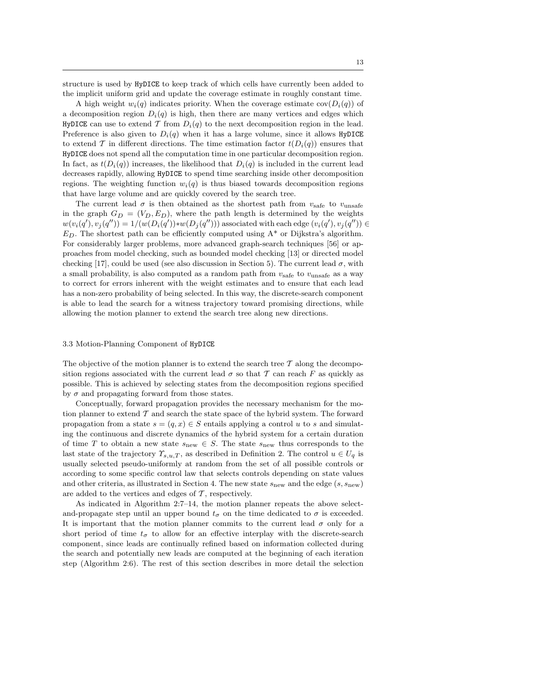structure is used by HyDICE to keep track of which cells have currently been added to the implicit uniform grid and update the coverage estimate in roughly constant time.

A high weight  $w_i(q)$  indicates priority. When the coverage estimate  $cov(D_i(q))$  of a decomposition region  $D_i(q)$  is high, then there are many vertices and edges which HyDICE can use to extend T from  $D_i(q)$  to the next decomposition region in the lead. Preference is also given to  $D_i(q)$  when it has a large volume, since it allows HyDICE to extend T in different directions. The time estimation factor  $t(D_i(q))$  ensures that HyDICE does not spend all the computation time in one particular decomposition region. In fact, as  $t(D_i(q))$  increases, the likelihood that  $D_i(q)$  is included in the current lead decreases rapidly, allowing HyDICE to spend time searching inside other decomposition regions. The weighting function  $w_i(q)$  is thus biased towards decomposition regions that have large volume and are quickly covered by the search tree.

The current lead  $\sigma$  is then obtained as the shortest path from  $v_{\text{safe}}$  to  $v_{\text{unsafe}}$ in the graph  $G_D = (V_D, E_D)$ , where the path length is determined by the weights  $w(v_i(q'), v_j(q'')) = 1/(w(D_i(q')) * w(D_j(q'')))$  associated with each edge  $(v_i(q'), v_j(q'')) \in$  $E_D$ . The shortest path can be efficiently computed using  $A^*$  or Dijkstra's algorithm. For considerably larger problems, more advanced graph-search techniques [56] or approaches from model checking, such as bounded model checking [13] or directed model checking [17], could be used (see also discussion in Section 5). The current lead  $\sigma$ , with a small probability, is also computed as a random path from  $v_{\rm safe}$  to  $v_{\rm unsafe}$  as a way to correct for errors inherent with the weight estimates and to ensure that each lead has a non-zero probability of being selected. In this way, the discrete-search component is able to lead the search for a witness trajectory toward promising directions, while allowing the motion planner to extend the search tree along new directions.

#### 3.3 Motion-Planning Component of HyDICE

The objective of the motion planner is to extend the search tree  $\mathcal T$  along the decomposition regions associated with the current lead  $\sigma$  so that T can reach F as quickly as possible. This is achieved by selecting states from the decomposition regions specified by  $\sigma$  and propagating forward from those states.

Conceptually, forward propagation provides the necessary mechanism for the motion planner to extend  $\mathcal T$  and search the state space of the hybrid system. The forward propagation from a state  $s = (q, x) \in S$  entails applying a control u to s and simulating the continuous and discrete dynamics of the hybrid system for a certain duration of time T to obtain a new state  $s_{\text{new}} \in S$ . The state  $s_{\text{new}}$  thus corresponds to the last state of the trajectory  $\Upsilon_{s,u,T}$ , as described in Definition 2. The control  $u \in U_q$  is usually selected pseudo-uniformly at random from the set of all possible controls or according to some specific control law that selects controls depending on state values and other criteria, as illustrated in Section 4. The new state  $s_{\text{new}}$  and the edge  $(s, s_{\text{new}})$ are added to the vertices and edges of  $\mathcal T$ , respectively.

As indicated in Algorithm 2:7–14, the motion planner repeats the above selectand-propagate step until an upper bound  $t_{\sigma}$  on the time dedicated to  $\sigma$  is exceeded. It is important that the motion planner commits to the current lead  $\sigma$  only for a short period of time  $t_{\sigma}$  to allow for an effective interplay with the discrete-search component, since leads are continually refined based on information collected during the search and potentially new leads are computed at the beginning of each iteration step (Algorithm 2:6). The rest of this section describes in more detail the selection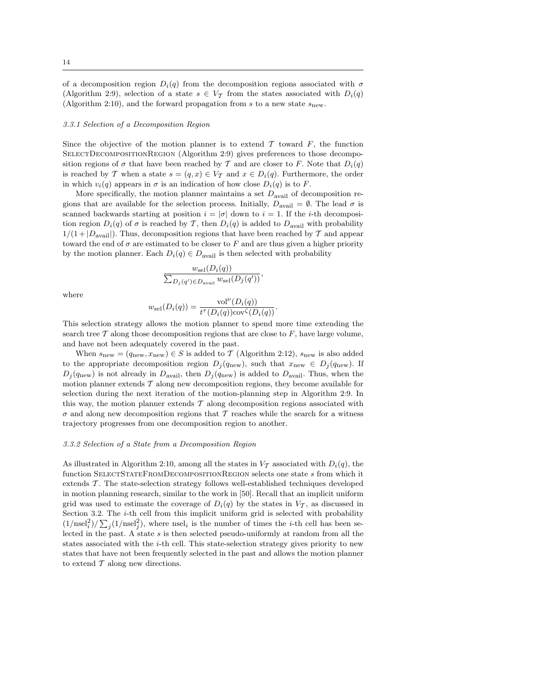of a decomposition region  $D_i(q)$  from the decomposition regions associated with  $\sigma$ (Algorithm 2:9), selection of a state  $s \in V_{\mathcal{T}}$  from the states associated with  $D_i(q)$ (Algorithm 2:10), and the forward propagation from  $s$  to a new state  $s_{\text{new}}$ .

## 3.3.1 Selection of a Decomposition Region

Since the objective of the motion planner is to extend  $\mathcal T$  toward  $F$ , the function SelectDecompositionRegion (Algorithm 2:9) gives preferences to those decomposition regions of  $\sigma$  that have been reached by T and are closer to F. Note that  $D_i(q)$ is reached by T when a state  $s = (q, x) \in V_T$  and  $x \in D_i(q)$ . Furthermore, the order in which  $v_i(q)$  appears in  $\sigma$  is an indication of how close  $D_i(q)$  is to F.

More specifically, the motion planner maintains a set  $D_{\text{avail}}$  of decomposition regions that are available for the selection process. Initially,  $D_{\text{avail}} = \emptyset$ . The lead  $\sigma$  is scanned backwards starting at position  $i = |\sigma|$  down to  $i = 1$ . If the *i*-th decomposition region  $D_i(q)$  of  $\sigma$  is reached by T, then  $D_i(q)$  is added to  $D_{\text{avail}}$  with probability  $1/(1+|D_{\text{avail}}|)$ . Thus, decomposition regions that have been reached by T and appear toward the end of  $\sigma$  are estimated to be closer to F and are thus given a higher priority by the motion planner. Each  $D_i(q) \in D_{\text{avail}}$  is then selected with probability

$$
\frac{w_{\rm sel}(D_i(q))}{\sum_{D_j(q') \in D_{\rm avail}} w_{\rm sel}(D_j(q'))},
$$

where

$$
w_{\rm sel}(D_i(q)) = \frac{{\rm vol}^{\nu}(D_i(q))} {t^{\tau}(D_i(q)) {\rm cov}^{\zeta}(D_i(q))}.
$$

This selection strategy allows the motion planner to spend more time extending the search tree  $T$  along those decomposition regions that are close to  $F$ , have large volume, and have not been adequately covered in the past.

When  $s_{\text{new}} = (q_{\text{new}}, x_{\text{new}}) \in S$  is added to T (Algorithm 2:12),  $s_{\text{new}}$  is also added to the appropriate decomposition region  $D_j(q_{\text{new}})$ , such that  $x_{\text{new}} \in D_j(q_{\text{new}})$ . If  $D_i(q_{\text{new}})$  is not already in  $D_{\text{avail}}$ , then  $D_i(q_{\text{new}})$  is added to  $D_{\text{avail}}$ . Thus, when the motion planner extends  $\mathcal T$  along new decomposition regions, they become available for selection during the next iteration of the motion-planning step in Algorithm 2:9. In this way, the motion planner extends  $\mathcal T$  along decomposition regions associated with  $\sigma$  and along new decomposition regions that T reaches while the search for a witness trajectory progresses from one decomposition region to another.

## 3.3.2 Selection of a State from a Decomposition Region

As illustrated in Algorithm 2:10, among all the states in  $V<sub>T</sub>$  associated with  $D<sub>i</sub>(q)$ , the function SELECTSTATEFROMDECOMPOSITIONREGION selects one state  $s$  from which it extends  $\mathcal T$ . The state-selection strategy follows well-established techniques developed in motion planning research, similar to the work in [50]. Recall that an implicit uniform grid was used to estimate the coverage of  $D_i(q)$  by the states in  $V<sub>T</sub>$ , as discussed in Section 3.2. The  $i$ -th cell from this implicit uniform grid is selected with probability  $\frac{(1/\text{nsel}_i^2)}{\sum_j (1/\text{nsel}_j^2)}$ , where nsel<sub>i</sub> is the number of times the *i*-th cell has been selected in the past. A state  $s$  is then selected pseudo-uniformly at random from all the states associated with the  $i$ -th cell. This state-selection strategy gives priority to new states that have not been frequently selected in the past and allows the motion planner to extend  $T$  along new directions.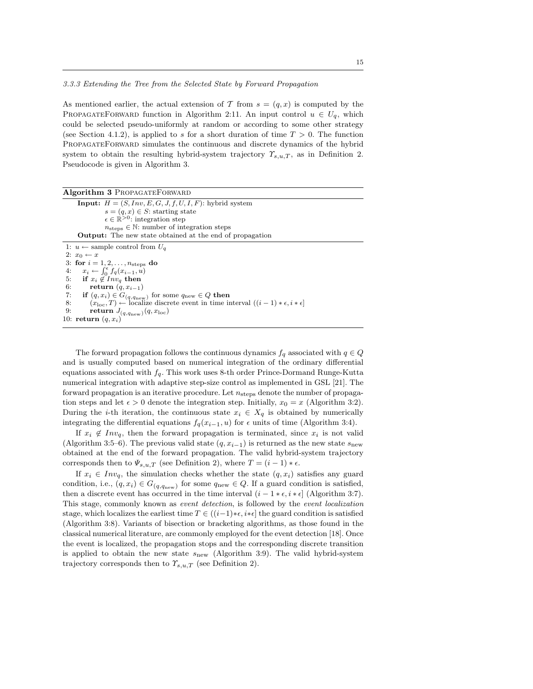3.3.3 Extending the Tree from the Selected State by Forward Propagation

As mentioned earlier, the actual extension of T from  $s = (q, x)$  is computed by the PROPAGATEFORWARD function in Algorithm 2:11. An input control  $u \in U_q$ , which could be selected pseudo-uniformly at random or according to some other strategy (see Section 4.1.2), is applied to s for a short duration of time  $T > 0$ . The function PropagateForward simulates the continuous and discrete dynamics of the hybrid system to obtain the resulting hybrid-system trajectory  $\gamma_{s,u,T}$ , as in Definition 2. Pseudocode is given in Algorithm 3.

| <b>Algorithm 3 PROPAGATEFORWARD</b>                                                                           |  |  |  |  |  |  |
|---------------------------------------------------------------------------------------------------------------|--|--|--|--|--|--|
| <b>Input:</b> $H = (S, Inv, E, G, J, f, U, I, F)$ : hybrid system                                             |  |  |  |  |  |  |
| $s = (q, x) \in S$ : starting state                                                                           |  |  |  |  |  |  |
| $\epsilon \in \mathbb{R}^{>0}$ : integration step                                                             |  |  |  |  |  |  |
| $n_{\text{steps}} \in \mathbb{N}$ : number of integration steps                                               |  |  |  |  |  |  |
| <b>Output:</b> The new state obtained at the end of propagation                                               |  |  |  |  |  |  |
| 1: $u \leftarrow$ sample control from $U_q$                                                                   |  |  |  |  |  |  |
| 2: $x_0 \leftarrow x$                                                                                         |  |  |  |  |  |  |
| 3: for $i = 1, 2, \ldots, n_{\text{steps}}$ do                                                                |  |  |  |  |  |  |
| 4: $x_i \leftarrow \int_0^{\epsilon} f_q(x_{i-1}, u)$                                                         |  |  |  |  |  |  |
| 5: if $x_i \notin Inv_a$ then                                                                                 |  |  |  |  |  |  |
| return $(q, x_{i-1})$<br>6:                                                                                   |  |  |  |  |  |  |
| <b>if</b> $(q, x_i) \in G_{(q, q_{\text{new}})}$ for some $q_{\text{new}} \in Q$ then<br>7:                   |  |  |  |  |  |  |
| $(x_{\text{loc}},T) \leftarrow$ localize discrete event in time interval $((i-1)*\epsilon, i*\epsilon]$<br>8: |  |  |  |  |  |  |
| return $J_{(q,q_{\text{new}})}(q,x_{\text{loc}})$<br>9:                                                       |  |  |  |  |  |  |
| 10: return $(q, x_i)$                                                                                         |  |  |  |  |  |  |
|                                                                                                               |  |  |  |  |  |  |

The forward propagation follows the continuous dynamics  $f_q$  associated with  $q \in Q$ and is usually computed based on numerical integration of the ordinary differential equations associated with  $f_q$ . This work uses 8-th order Prince-Dormand Runge-Kutta numerical integration with adaptive step-size control as implemented in GSL [21]. The forward propagation is an iterative procedure. Let  $n_{\text{steps}}$  denote the number of propagation steps and let  $\epsilon > 0$  denote the integration step. Initially,  $x_0 = x$  (Algorithm 3:2). During the *i*-th iteration, the continuous state  $x_i \in X_q$  is obtained by numerically integrating the differential equations  $f_q(x_{i-1}, u)$  for  $\epsilon$  units of time (Algorithm 3:4).

If  $x_i \notin Inv_q$ , then the forward propagation is terminated, since  $x_i$  is not valid (Algorithm 3:5–6). The previous valid state  $(q, x_{i-1})$  is returned as the new state  $s_{\text{new}}$ obtained at the end of the forward propagation. The valid hybrid-system trajectory corresponds then to  $\Psi_{s,u,T}$  (see Definition 2), where  $T = (i-1) * \epsilon$ .

If  $x_i \in Inv_q$ , the simulation checks whether the state  $(q, x_i)$  satisfies any guard condition, i.e.,  $(q, x_i) \in G_{(q, q_{\text{new}})}$  for some  $q_{\text{new}} \in Q$ . If a guard condition is satisfied, then a discrete event has occurred in the time interval  $(i - 1 * \epsilon, i * \epsilon]$  (Algorithm 3:7). This stage, commonly known as event detection, is followed by the event localization stage, which localizes the earliest time  $T \in ((i-1)*\epsilon, i*\epsilon]$  the guard condition is satisfied (Algorithm 3:8). Variants of bisection or bracketing algorithms, as those found in the classical numerical literature, are commonly employed for the event detection [18]. Once the event is localized, the propagation stops and the corresponding discrete transition is applied to obtain the new state  $s_{\text{new}}$  (Algorithm 3:9). The valid hybrid-system trajectory corresponds then to  $\Upsilon_{s,u,T}$  (see Definition 2).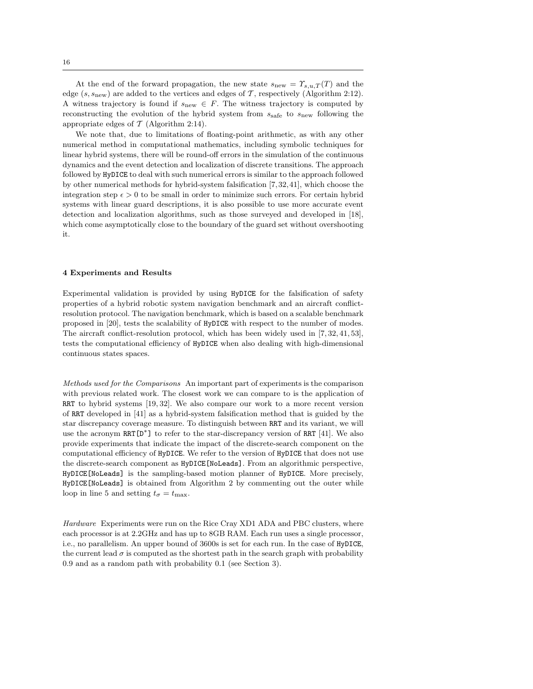At the end of the forward propagation, the new state  $s_{\text{new}} = \Upsilon_{s,u,T}(T)$  and the edge (s,  $s_{\text{new}}$ ) are added to the vertices and edges of T, respectively (Algorithm 2:12). A witness trajectory is found if  $s_{\text{new}} \in F$ . The witness trajectory is computed by reconstructing the evolution of the hybrid system from  $s_{\text{safe}}$  to  $s_{\text{new}}$  following the appropriate edges of  $\mathcal T$  (Algorithm 2:14).

We note that, due to limitations of floating-point arithmetic, as with any other numerical method in computational mathematics, including symbolic techniques for linear hybrid systems, there will be round-off errors in the simulation of the continuous dynamics and the event detection and localization of discrete transitions. The approach followed by HyDICE to deal with such numerical errors is similar to the approach followed by other numerical methods for hybrid-system falsification [7, 32, 41], which choose the integration step  $\epsilon > 0$  to be small in order to minimize such errors. For certain hybrid systems with linear guard descriptions, it is also possible to use more accurate event detection and localization algorithms, such as those surveyed and developed in [18], which come asymptotically close to the boundary of the guard set without overshooting it.

## 4 Experiments and Results

Experimental validation is provided by using HyDICE for the falsification of safety properties of a hybrid robotic system navigation benchmark and an aircraft conflictresolution protocol. The navigation benchmark, which is based on a scalable benchmark proposed in [20], tests the scalability of HyDICE with respect to the number of modes. The aircraft conflict-resolution protocol, which has been widely used in [7, 32, 41, 53], tests the computational efficiency of HyDICE when also dealing with high-dimensional continuous states spaces.

Methods used for the Comparisons An important part of experiments is the comparison with previous related work. The closest work we can compare to is the application of RRT to hybrid systems [19, 32]. We also compare our work to a more recent version of RRT developed in [41] as a hybrid-system falsification method that is guided by the star discrepancy coverage measure. To distinguish between RRT and its variant, we will use the acronym RRT[D<sup>\*</sup>] to refer to the star-discrepancy version of RRT [41]. We also provide experiments that indicate the impact of the discrete-search component on the computational efficiency of HyDICE. We refer to the version of HyDICE that does not use the discrete-search component as HyDICE[NoLeads]. From an algorithmic perspective, HyDICE[NoLeads] is the sampling-based motion planner of HyDICE. More precisely, HyDICE[NoLeads] is obtained from Algorithm 2 by commenting out the outer while loop in line 5 and setting  $t_{\sigma} = t_{\text{max}}$ .

Hardware Experiments were run on the Rice Cray XD1 ADA and PBC clusters, where each processor is at 2.2GHz and has up to 8GB RAM. Each run uses a single processor, i.e., no parallelism. An upper bound of 3600s is set for each run. In the case of HyDICE, the current lead  $\sigma$  is computed as the shortest path in the search graph with probability 0.9 and as a random path with probability 0.1 (see Section 3).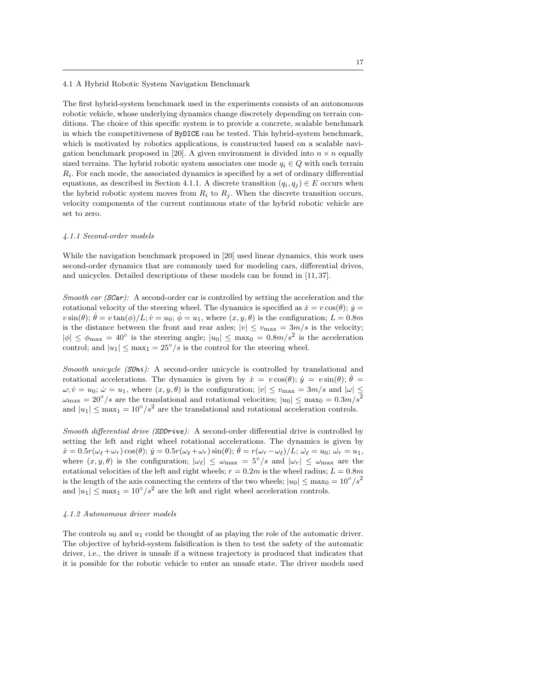## 4.1 A Hybrid Robotic System Navigation Benchmark

The first hybrid-system benchmark used in the experiments consists of an autonomous robotic vehicle, whose underlying dynamics change discretely depending on terrain conditions. The choice of this specific system is to provide a concrete, scalable benchmark in which the competitiveness of HyDICE can be tested. This hybrid-system benchmark, which is motivated by robotics applications, is constructed based on a scalable navigation benchmark proposed in [20]. A given environment is divided into  $n \times n$  equally sized terrains. The hybrid robotic system associates one mode  $q_i \in Q$  with each terrain  $R<sub>i</sub>$ . For each mode, the associated dynamics is specified by a set of ordinary differential equations, as described in Section 4.1.1. A discrete transition  $(q_i, q_j) \in E$  occurs when the hybrid robotic system moves from  $R_i$  to  $R_j$ . When the discrete transition occurs, velocity components of the current continuous state of the hybrid robotic vehicle are set to zero.

#### 4.1.1 Second-order models

While the navigation benchmark proposed in [20] used linear dynamics, this work uses second-order dynamics that are commonly used for modeling cars, differential drives, and unicycles. Detailed descriptions of these models can be found in [11, 37].

Smooth car  $(SCar)$ : A second-order car is controlled by setting the acceleration and the rotational velocity of the steering wheel. The dynamics is specified as  $\dot{x} = v \cos(\theta)$ ;  $\dot{y} =$  $v \sin(\theta)$ ;  $\dot{\theta} = v \tan(\phi)/L$ ;  $\dot{v} = u_0$ ;  $\dot{\phi} = u_1$ , where  $(x, y, \theta)$  is the configuration;  $L = 0.8m$ is the distance between the front and rear axles;  $|v| \le v_{\text{max}} = 3m/s$  is the velocity;  $|\phi| \leq \phi_{\text{max}} = 40^{\circ}$  is the steering angle;  $|u_0| \leq \max_0 = 0.8m/s^2$  is the acceleration control; and  $|u_1| \leq \max_1 = 25^{\circ}/s$  is the control for the steering wheel.

Smooth unicycle  $(SUni)$ : A second-order unicycle is controlled by translational and rotational accelerations. The dynamics is given by  $\dot{x} = v \cos(\theta)$ ;  $\dot{y} = v \sin(\theta)$ ;  $\dot{\theta} =$  $\omega; \dot{v} = u_0; \dot{\omega} = u_1$ , where  $(x, y, \theta)$  is the configuration;  $|v| \le v_{\text{max}} = 3m/s$  and  $|\omega| \le$  $\omega_{\text{max}} = 20^{\circ}/s$  are the translational and rotational velocities;  $|u_0| \le \text{max}_0 = 0.3 m/s^2$ and  $|u_1| \leq \max_1 = 10^\circ/s^2$  are the translational and rotational acceleration controls.

Smooth differential drive (SDDrive): A second-order differential drive is controlled by setting the left and right wheel rotational accelerations. The dynamics is given by  $\dot{x}=0.5r(\omega_{\ell}+\omega_{r})\cos(\theta);$   $\dot{y}=0.5r(\omega_{\ell}+\omega_{r})\sin(\theta);$   $\dot{\theta}=r(\omega_{r}-\omega_{\ell})/L;$   $\dot{\omega}_{\ell}=u_{0};$   $\dot{\omega}_{r}=u_{1},$ where  $(x, y, \theta)$  is the configuration;  $|\omega_{\ell}| \leq \omega_{\text{max}} = 5^{\circ}/s$  and  $|\omega_{r}| \leq \omega_{\text{max}}$  are the rotational velocities of the left and right wheels;  $r = 0.2m$  is the wheel radius;  $L = 0.8m$ is the length of the axis connecting the centers of the two wheels;  $|u_0| \le \max_0 10^\circ/s^2$ and  $|u_1| \leq \max_1 = 10^\circ/s^2$  are the left and right wheel acceleration controls.

## 4.1.2 Autonomous driver models

The controls  $u_0$  and  $u_1$  could be thought of as playing the role of the automatic driver. The objective of hybrid-system falsification is then to test the safety of the automatic driver, i.e., the driver is unsafe if a witness trajectory is produced that indicates that it is possible for the robotic vehicle to enter an unsafe state. The driver models used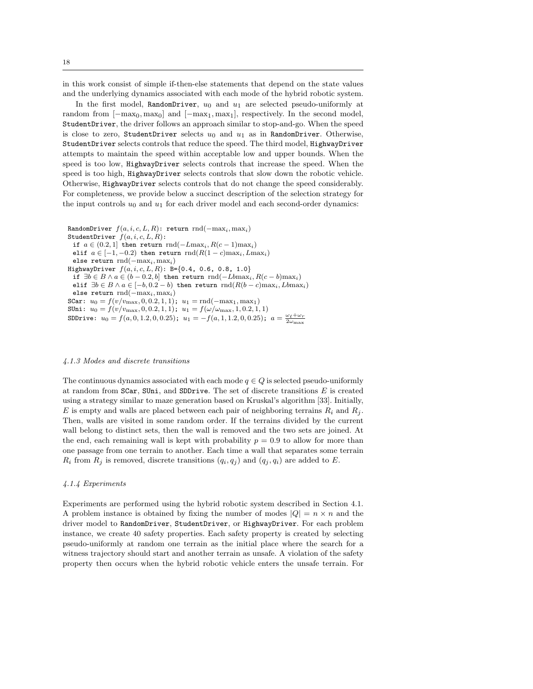in this work consist of simple if-then-else statements that depend on the state values and the underlying dynamics associated with each mode of the hybrid robotic system.

In the first model, RandomDriver,  $u_0$  and  $u_1$  are selected pseudo-uniformly at random from  $[-\text{max}_0, \text{max}_0]$  and  $[-\text{max}_1, \text{max}_1]$ , respectively. In the second model, StudentDriver, the driver follows an approach similar to stop-and-go. When the speed is close to zero, StudentDriver selects  $u_0$  and  $u_1$  as in RandomDriver. Otherwise, StudentDriver selects controls that reduce the speed. The third model, HighwayDriver attempts to maintain the speed within acceptable low and upper bounds. When the speed is too low, HighwayDriver selects controls that increase the speed. When the speed is too high, HighwayDriver selects controls that slow down the robotic vehicle. Otherwise, HighwayDriver selects controls that do not change the speed considerably. For completeness, we provide below a succinct description of the selection strategy for the input controls  $u_0$  and  $u_1$  for each driver model and each second-order dynamics:

RandomDriver  $f(a, i, c, L, R)$ : return rnd( $-max_i, max_i$ ) StudentDriver  $f(a, i, c, L, R)$ : if  $a \in (0.2, 1]$  then return rnd( $-L$ max<sub>i</sub>,  $R(c-1)$ max<sub>i</sub>) elif  $a \in [-1, -0.2)$  then return  $\text{rnd}(R(1-c)\text{max}_i, L\text{max}_i)$ else return  $rnd(-max_i, max_i)$ HighwayDriver  $f(a, i, c, L, R)$ : B={0.4, 0.6, 0.8, 1.0} if  $∃b ∈ B ∧ a ∈ (b − 0.2, b]$  then return rnd( $-Lb$ max<sub>i</sub>,  $R(c − b)$ max<sub>i</sub>) elif  $\exists b \in B \land a \in [-b, 0.2 - b)$  then return  $\text{rnd}(R(b - c) \text{max}_i, Lb \text{max}_i)$ else return  $rnd(-max_i, max_i)$ SCar:  $u_0 = f(v/v_{\text{max}}, 0, 0.2, 1, 1); u_1 = \text{rnd}(-\text{max}_1, \text{max}_1)$ SUni:  $u_0 = f(v/v_{\text{max}}, 0, 0.2, 1, 1); u_1 = f(\omega/\omega_{\text{max}}, 1, 0.2, 1, 1)$ SDDrive:  $u_0 = f(a, 0, 1.2, 0, 0.25); u_1 = -f(a, 1, 1.2, 0, 0.25); a = \frac{\omega_{\ell} + \omega_r}{2\omega_{\max}}$ 

## 4.1.3 Modes and discrete transitions

The continuous dynamics associated with each mode  $q \in Q$  is selected pseudo-uniformly at random from SCar, SUni, and SDDrive. The set of discrete transitions  $E$  is created using a strategy similar to maze generation based on Kruskal's algorithm [33]. Initially, E is empty and walls are placed between each pair of neighboring terrains  $R_i$  and  $R_j$ . Then, walls are visited in some random order. If the terrains divided by the current wall belong to distinct sets, then the wall is removed and the two sets are joined. At the end, each remaining wall is kept with probability  $p = 0.9$  to allow for more than one passage from one terrain to another. Each time a wall that separates some terrain  $R_i$  from  $R_j$  is removed, discrete transitions  $(q_i, q_j)$  and  $(q_j, q_i)$  are added to E.

#### 4.1.4 Experiments

Experiments are performed using the hybrid robotic system described in Section 4.1. A problem instance is obtained by fixing the number of modes  $|Q| = n \times n$  and the driver model to RandomDriver, StudentDriver, or HighwayDriver. For each problem instance, we create 40 safety properties. Each safety property is created by selecting pseudo-uniformly at random one terrain as the initial place where the search for a witness trajectory should start and another terrain as unsafe. A violation of the safety property then occurs when the hybrid robotic vehicle enters the unsafe terrain. For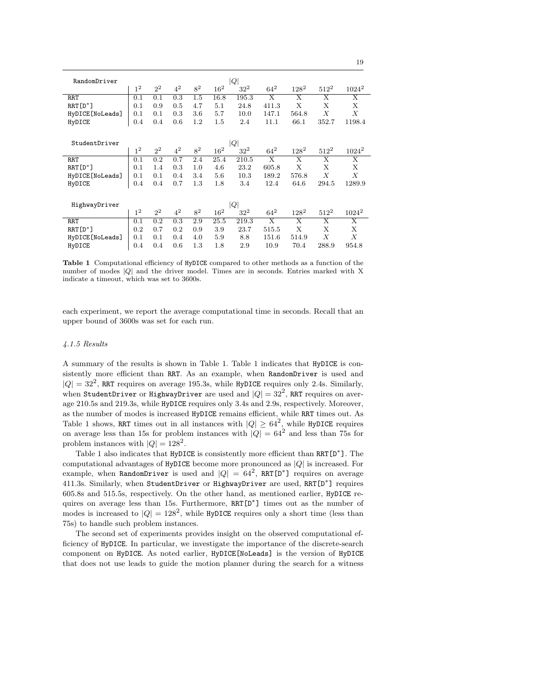| RandomDriver         |                |       |       |                |          | Q        |                         |                         |         |          |
|----------------------|----------------|-------|-------|----------------|----------|----------|-------------------------|-------------------------|---------|----------|
|                      | 1 <sup>2</sup> | $2^2$ | $4^2$ | $8^2$          | $16^2\,$ | $32^{2}$ | $64^{2}$                | $128^2\,$               | $512^2$ | $1024^2$ |
| <b>RRT</b>           | 0.1            | 0.1   | 0.3   | 1.5            | 16.8     | 195.3    | $\overline{\mathbf{x}}$ | X                       | X       | X        |
| RRT[D <sup>*</sup> ] | 0.1            | 0.9   | 0.5   | 4.7            | 5.1      | 24.8     | 411.3                   | X                       | X       | X        |
| HyDICE [NoLeads]     | 0.1            | 0.1   | 0.3   | 3.6            | 5.7      | 10.0     | 147.1                   | 564.8                   | X       | X        |
| HyDICE               | 0.4            | 0.4   | 0.6   | 1.2            | 1.5      | 2.4      | 11.1                    | 66.1                    | 352.7   | 1198.4   |
|                      |                |       |       |                |          |          |                         |                         |         |          |
| StudentDriver        |                |       |       |                |          | Q        |                         |                         |         |          |
|                      | 1 <sup>2</sup> | $2^2$ | $4^2$ | 8 <sup>2</sup> | $16^{2}$ | $32^2$   | $64^{2}$                | $128^2$                 | $512^2$ | $1024^2$ |
| RRT                  | 0.1            | 0.2   | 0.7   | 2.4            | 25.4     | 210.5    | $\overline{\mathbf{x}}$ | $\overline{\mathbf{x}}$ | X       | X        |
| RRT[D <sup>*</sup> ] | 0.1            | 1.4   | 0.3   | 1.0            | 4.6      | 23.2     | 605.8                   | X                       | X       | X        |
| HyDICE [NoLeads]     | 0.1            | 0.1   | 0.4   | 3.4            | 5.6      | 10.3     | 189.2                   | 576.8                   | Х       | X        |
| HyDICE               | 0.4            | 0.4   | 0.7   | 1.3            | 1.8      | 3.4      | 12.4                    | 64.6                    | 294.5   | 1289.9   |
|                      |                |       |       |                |          |          |                         |                         |         |          |
| HighwayDriver        | Q              |       |       |                |          |          |                         |                         |         |          |
|                      | 1 <sup>2</sup> | $2^2$ | $4^2$ | $8^2$          | $16^2$   | $32^{2}$ | $64^{2}$                | $128^2\,$               | $512^2$ | $1024^2$ |
| RRT                  | 0.1            | 0.2   | 0.3   | 2.9            | 25.5     | 219.3    | X                       | X                       | X       | X        |
| RRT[D <sup>*</sup> ] | 0.2            | 0.7   | 0.2   | 0.9            | 3.9      | 23.7     | 515.5                   | Х                       | Х       | X        |
| HyDICE [NoLeads]     | 0.1            | 0.1   | 0.4   | 4.0            | 5.9      | 8.8      | 151.6                   | 514.9                   | X       | X        |
| HyDICE               | 0.4            | 0.4   | 0.6   | 1.3            | 1.8      | 2.9      | 10.9                    | 70.4                    | 288.9   | 954.8    |

Table 1 Computational efficiency of HyDICE compared to other methods as a function of the number of modes |Q| and the driver model. Times are in seconds. Entries marked with X indicate a timeout, which was set to 3600s.

each experiment, we report the average computational time in seconds. Recall that an upper bound of 3600s was set for each run.

#### 4.1.5 Results

A summary of the results is shown in Table 1. Table 1 indicates that HyDICE is consistently more efficient than RRT. As an example, when RandomDriver is used and  $|Q| = 32<sup>2</sup>$ , RRT requires on average 195.3s, while HyDICE requires only 2.4s. Similarly, when StudentDriver or HighwayDriver are used and  $|Q|=32^2$ , RRT requires on average 210.5s and 219.3s, while HyDICE requires only 3.4s and 2.9s, respectively. Moreover, as the number of modes is increased HyDICE remains efficient, while RRT times out. As Table 1 shows, RRT times out in all instances with  $|Q| \geq 64^2$ , while HyDICE requires on average less than 15s for problem instances with  $|Q| = 64^2$  and less than 75s for problem instances with  $|Q| = 128^2$ .

Table 1 also indicates that HyDICE is consistently more efficient than RRT[D<sup>\*</sup>]. The computational advantages of HyDICE become more pronounced as  $|Q|$  is increased. For example, when RandomDriver is used and  $|Q| = 64^2$ , RRT[D<sup>\*</sup>] requires on average 411.3s. Similarly, when StudentDriver or HighwayDriver are used, RRT[D<sup>∗</sup> ] requires 605.8s and 515.5s, respectively. On the other hand, as mentioned earlier, HyDICE requires on average less than 15s. Furthermore, RRT[D<sup>\*</sup>] times out as the number of modes is increased to  $|Q| = 128^2$ , while HyDICE requires only a short time (less than 75s) to handle such problem instances.

The second set of experiments provides insight on the observed computational efficiency of HyDICE. In particular, we investigate the importance of the discrete-search component on HyDICE. As noted earlier, HyDICE[NoLeads] is the version of HyDICE that does not use leads to guide the motion planner during the search for a witness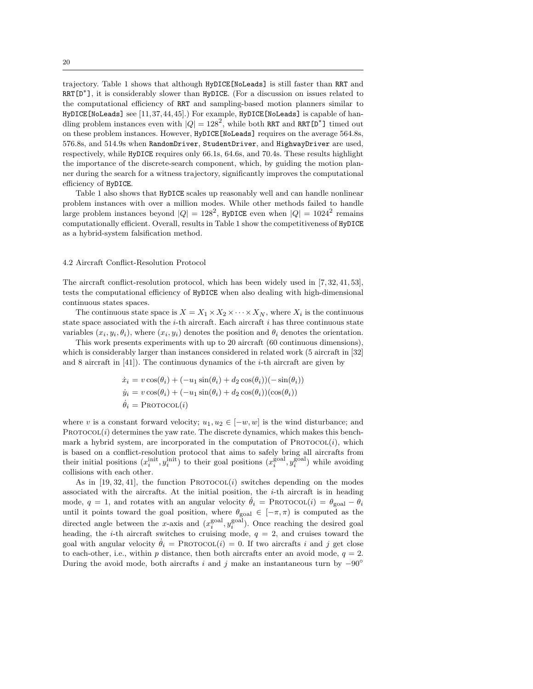trajectory. Table 1 shows that although HyDICE[NoLeads] is still faster than RRT and RRT[D<sup>\*</sup>], it is considerably slower than HyDICE. (For a discussion on issues related to the computational efficiency of RRT and sampling-based motion planners similar to HyDICE[NoLeads] see [11,37,44,45].) For example, HyDICE[NoLeads] is capable of handling problem instances even with  $|Q| = 128^2$ , while both RRT and RRT[D<sup>\*</sup>] timed out on these problem instances. However, HyDICE[NoLeads] requires on the average 564.8s, 576.8s, and 514.9s when RandomDriver, StudentDriver, and HighwayDriver are used, respectively, while HyDICE requires only 66.1s, 64.6s, and 70.4s. These results highlight the importance of the discrete-search component, which, by guiding the motion planner during the search for a witness trajectory, significantly improves the computational efficiency of HyDICE.

Table 1 also shows that HyDICE scales up reasonably well and can handle nonlinear problem instances with over a million modes. While other methods failed to handle large problem instances beyond  $|Q| = 128^2$ , HyDICE even when  $|Q| = 1024^2$  remains computationally efficient. Overall, results in Table 1 show the competitiveness of HyDICE as a hybrid-system falsification method.

## 4.2 Aircraft Conflict-Resolution Protocol

The aircraft conflict-resolution protocol, which has been widely used in [7, 32, 41, 53], tests the computational efficiency of HyDICE when also dealing with high-dimensional continuous states spaces.

The continuous state space is  $X = X_1 \times X_2 \times \cdots \times X_N$ , where  $X_i$  is the continuous state space associated with the  $i$ -th aircraft. Each aircraft  $i$  has three continuous state variables  $(x_i, y_i, \theta_i)$ , where  $(x_i, y_i)$  denotes the position and  $\theta_i$  denotes the orientation.

This work presents experiments with up to 20 aircraft (60 continuous dimensions), which is considerably larger than instances considered in related work (5 aircraft in [32] and 8 aircraft in  $[41]$ . The continuous dynamics of the *i*-th aircraft are given by

$$
\dot{x}_i = v \cos(\theta_i) + (-u_1 \sin(\theta_i) + d_2 \cos(\theta_i))(-\sin(\theta_i))
$$
  
\n
$$
\dot{y}_i = v \cos(\theta_i) + (-u_1 \sin(\theta_i) + d_2 \cos(\theta_i))(\cos(\theta_i))
$$
  
\n
$$
\dot{\theta}_i = \text{PROTOCOL}(i)
$$

where v is a constant forward velocity;  $u_1, u_2 \in [-w, w]$  is the wind disturbance; and PROTOCOL $(i)$  determines the yaw rate. The discrete dynamics, which makes this benchmark a hybrid system, are incorporated in the computation of  $PROTOCOL(i)$ , which is based on a conflict-resolution protocol that aims to safely bring all aircrafts from their initial positions  $(x_i^{\text{init}}, y_i^{\text{init}})$  to their goal positions  $(x_i^{\text{goal}}, y_i^{\text{goal}})$  while avoiding collisions with each other.

As in [19, 32, 41], the function  $PROTOCOL(i)$  switches depending on the modes associated with the aircrafts. At the initial position, the i-th aircraft is in heading mode,  $q = 1$ , and rotates with an angular velocity  $\dot{\theta}_i = \text{PROTOCOL}(i) = \theta_{\text{goal}} - \theta_i$ until it points toward the goal position, where  $\theta_{\text{goal}} \in [-\pi, \pi)$  is computed as the directed angle between the x-axis and  $(x_i^{\text{goal}}, y_i^{\text{goal}})$ . Once reaching the desired goal heading, the *i*-th aircraft switches to cruising mode,  $q = 2$ , and cruises toward the goal with angular velocity  $\theta_i = \text{PROTOCOL}(i) = 0$ . If two aircrafts i and j get close to each-other, i.e., within p distance, then both aircrafts enter an avoid mode,  $q = 2$ . During the avoid mode, both aircrafts i and j make an instantaneous turn by  $-90°$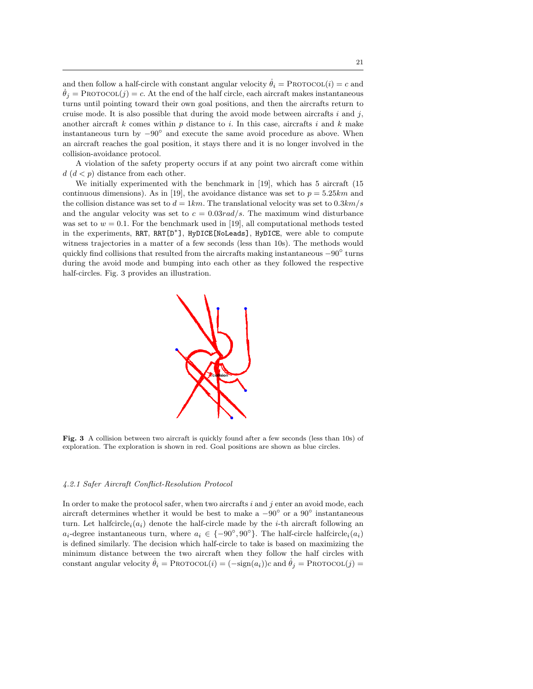and then follow a half-circle with constant angular velocity  $\dot{\theta}_i = \text{PROTOCOL}(i) = c$  and  $\theta_i = \text{PROTOCOL}(j) = c$ . At the end of the half circle, each aircraft makes instantaneous turns until pointing toward their own goal positions, and then the aircrafts return to cruise mode. It is also possible that during the avoid mode between aircrafts  $i$  and  $j$ , another aircraft k comes within p distance to i. In this case, aircrafts i and k make instantaneous turn by −90◦ and execute the same avoid procedure as above. When an aircraft reaches the goal position, it stays there and it is no longer involved in the collision-avoidance protocol.

A violation of the safety property occurs if at any point two aircraft come within  $d (d < p)$  distance from each other.

We initially experimented with the benchmark in [19], which has 5 aircraft (15 continuous dimensions). As in [19], the avoidance distance was set to  $p = 5.25km$  and the collision distance was set to  $d = 1km$ . The translational velocity was set to  $0.3km/s$ and the angular velocity was set to  $c = 0.03 \text{ rad/s}$ . The maximum wind disturbance was set to  $w = 0.1$ . For the benchmark used in [19], all computational methods tested in the experiments, RRT, RRT[D<sup>∗</sup> ], HyDICE[NoLeads], HyDICE, were able to compute witness trajectories in a matter of a few seconds (less than 10s). The methods would quickly find collisions that resulted from the aircrafts making instantaneous  $-90°$  turns during the avoid mode and bumping into each other as they followed the respective half-circles. Fig. 3 provides an illustration.



Fig. 3 A collision between two aircraft is quickly found after a few seconds (less than 10s) of exploration. The exploration is shown in red. Goal positions are shown as blue circles.

#### 4.2.1 Safer Aircraft Conflict-Resolution Protocol

In order to make the protocol safer, when two aircrafts  $i$  and  $j$  enter an avoid mode, each aircraft determines whether it would be best to make a  $-90^{\circ}$  or a  $90^{\circ}$  instantaneous turn. Let halfcircle<sub>i</sub>( $a_i$ ) denote the half-circle made by the *i*-th aircraft following an  $a_i$ -degree instantaneous turn, where  $a_i \in \{-90^\circ, 90^\circ\}$ . The half-circle halfcircle<sub>i</sub> $(a_i)$ is defined similarly. The decision which half-circle to take is based on maximizing the minimum distance between the two aircraft when they follow the half circles with constant angular velocity  $\dot{\theta}_i = \text{PROTOCOL}(i) = (-\text{sign}(a_i))c$  and  $\dot{\theta}_j = \text{PROTOCOL}(j)$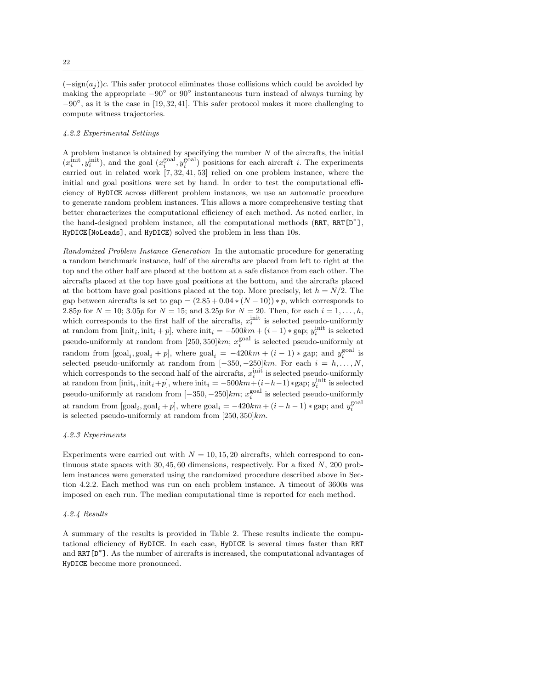$(-\text{sign}(a_i))c$ . This safer protocol eliminates those collisions which could be avoided by making the appropriate  $-90^\circ$  or  $90^\circ$  instantaneous turn instead of always turning by −90◦ , as it is the case in [19, 32, 41]. This safer protocol makes it more challenging to compute witness trajectories.

# 4.2.2 Experimental Settings

A problem instance is obtained by specifying the number  $N$  of the aircrafts, the initial  $(x_i^{\text{init}}, y_i^{\text{init}})$ , and the goal  $(x_i^{\text{goal}}, y_i^{\text{goal}})$  positions for each aircraft *i*. The experiments carried out in related work [7, 32, 41, 53] relied on one problem instance, where the initial and goal positions were set by hand. In order to test the computational efficiency of HyDICE across different problem instances, we use an automatic procedure to generate random problem instances. This allows a more comprehensive testing that better characterizes the computational efficiency of each method. As noted earlier, in the hand-designed problem instance, all the computational methods (RRT, RRT[D<sup>\*</sup>], HyDICE[NoLeads], and HyDICE) solved the problem in less than 10s.

Randomized Problem Instance Generation In the automatic procedure for generating a random benchmark instance, half of the aircrafts are placed from left to right at the top and the other half are placed at the bottom at a safe distance from each other. The aircrafts placed at the top have goal positions at the bottom, and the aircrafts placed at the bottom have goal positions placed at the top. More precisely, let  $h = N/2$ . The gap between aircrafts is set to gap =  $(2.85 + 0.04 * (N - 10)) * p$ , which corresponds to 2.85p for  $N = 10$ ; 3.05p for  $N = 15$ ; and 3.25p for  $N = 20$ . Then, for each  $i = 1, ..., h$ , which corresponds to the first half of the aircrafts,  $x_i^{\text{init}}$  is selected pseudo-uniformly at random from  $[\text{init}_i, \text{init}_i + p]$ , where  $\text{init}_i = -500km + (i - 1) * \text{gap}$ ;  $y_i^{\text{init}}$  is selected pseudo-uniformly at random from  $[250, 350]km$ ;  $x_i^{\text{goal}}$  is selected pseudo-uniformly at random from  $[\text{goal}_i, \text{goal}_i + p]$ , where  $\text{goal}_i = -420km + (i - 1) * \text{gap}$ ; and  $y_i^{\text{goal}}$  is selected pseudo-uniformly at random from  $[-350, -250]km$ . For each  $i = h, ..., N$ , which corresponds to the second half of the aircrafts,  $x_i^{\text{init}}$  is selected pseudo-uniformly at random from  $[\text{init}_i, \text{init}_i + p]$ , where  $\text{init}_i = -500km + (i-h-1)*\text{gap}$ ;  $y_i^{\text{init}}$  is selected pseudo-uniformly at random from  $[-350, -250]km$ ;  $x_i^{\text{goal}}$  is selected pseudo-uniformly at random from  $[\text{goal}_i, \text{goal}_i + p]$ , where  $\text{goal}_i = -420km + (i - h - 1) * \text{gap}$ ; and  $y_i^{\text{goal}}$ is selected pseudo-uniformly at random from  $[250, 350]km$ .

## 4.2.3 Experiments

Experiments were carried out with  $N = 10, 15, 20$  aircrafts, which correspond to continuous state spaces with  $30, 45, 60$  dimensions, respectively. For a fixed N, 200 problem instances were generated using the randomized procedure described above in Section 4.2.2. Each method was run on each problem instance. A timeout of 3600s was imposed on each run. The median computational time is reported for each method.

#### 4.2.4 Results

A summary of the results is provided in Table 2. These results indicate the computational efficiency of HyDICE. In each case, HyDICE is several times faster than RRT and RRT[D<sup>∗</sup> ]. As the number of aircrafts is increased, the computational advantages of HyDICE become more pronounced.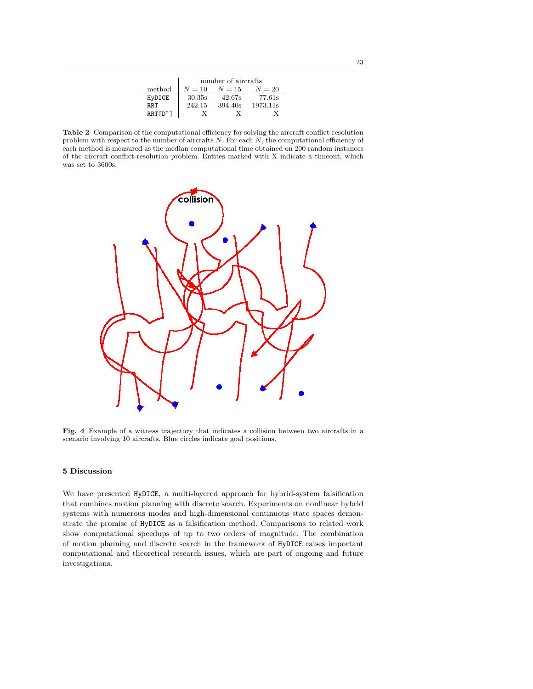|                      | number of aircrafts |         |                      |  |  |  |  |  |
|----------------------|---------------------|---------|----------------------|--|--|--|--|--|
| method               | $N=10$              | $N=15$  | $N=20$               |  |  |  |  |  |
| HyDICE               | 30.35s              | 42.67s  | 77.61s               |  |  |  |  |  |
| <b>RRT</b>           | 242.15              | 394.40s | 1973.11 <sub>s</sub> |  |  |  |  |  |
| RRT[D <sup>*</sup> ] |                     |         |                      |  |  |  |  |  |

Table 2 Comparison of the computational efficiency for solving the aircraft conflict-resolution problem with respect to the number of aircrafts  $N$ . For each  $N$ , the computational efficiency of each method is measured as the median computational time obtained on 200 random instances of the aircraft conflict-resolution problem. Entries marked with X indicate a timeout, which was set to 3600s.



Fig. 4 Example of a witness trajectory that indicates a collision between two aircrafts in a scenario involving 10 aircrafts. Blue circles indicate goal positions.

# 5 Discussion

We have presented HyDICE, a multi-layered approach for hybrid-system falsification that combines motion planning with discrete search. Experiments on nonlinear hybrid systems with numerous modes and high-dimensional continuous state spaces demonstrate the promise of HyDICE as a falsification method. Comparisons to related work show computational speedups of up to two orders of magnitude. The combination of motion planning and discrete search in the framework of HyDICE raises important computational and theoretical research issues, which are part of ongoing and future investigations.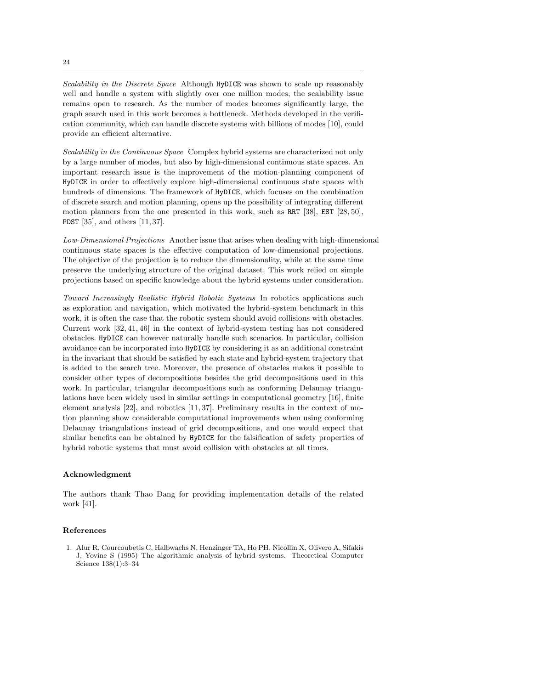Scalability in the Discrete Space Although HyDICE was shown to scale up reasonably well and handle a system with slightly over one million modes, the scalability issue remains open to research. As the number of modes becomes significantly large, the graph search used in this work becomes a bottleneck. Methods developed in the verification community, which can handle discrete systems with billions of modes [10], could provide an efficient alternative.

Scalability in the Continuous Space Complex hybrid systems are characterized not only by a large number of modes, but also by high-dimensional continuous state spaces. An important research issue is the improvement of the motion-planning component of HyDICE in order to effectively explore high-dimensional continuous state spaces with hundreds of dimensions. The framework of HyDICE, which focuses on the combination of discrete search and motion planning, opens up the possibility of integrating different motion planners from the one presented in this work, such as RRT [38], EST [28, 50], PDST [35], and others [11, 37].

Low-Dimensional Projections Another issue that arises when dealing with high-dimensional continuous state spaces is the effective computation of low-dimensional projections. The objective of the projection is to reduce the dimensionality, while at the same time preserve the underlying structure of the original dataset. This work relied on simple projections based on specific knowledge about the hybrid systems under consideration.

Toward Increasingly Realistic Hybrid Robotic Systems In robotics applications such as exploration and navigation, which motivated the hybrid-system benchmark in this work, it is often the case that the robotic system should avoid collisions with obstacles. Current work [32, 41, 46] in the context of hybrid-system testing has not considered obstacles. HyDICE can however naturally handle such scenarios. In particular, collision avoidance can be incorporated into HyDICE by considering it as an additional constraint in the invariant that should be satisfied by each state and hybrid-system trajectory that is added to the search tree. Moreover, the presence of obstacles makes it possible to consider other types of decompositions besides the grid decompositions used in this work. In particular, triangular decompositions such as conforming Delaunay triangulations have been widely used in similar settings in computational geometry [16], finite element analysis [22], and robotics [11, 37]. Preliminary results in the context of motion planning show considerable computational improvements when using conforming Delaunay triangulations instead of grid decompositions, and one would expect that similar benefits can be obtained by HyDICE for the falsification of safety properties of hybrid robotic systems that must avoid collision with obstacles at all times.

## Acknowledgment

The authors thank Thao Dang for providing implementation details of the related work [41].

## References

1. Alur R, Courcoubetis C, Halbwachs N, Henzinger TA, Ho PH, Nicollin X, Olivero A, Sifakis J, Yovine S (1995) The algorithmic analysis of hybrid systems. Theoretical Computer Science 138(1):3–34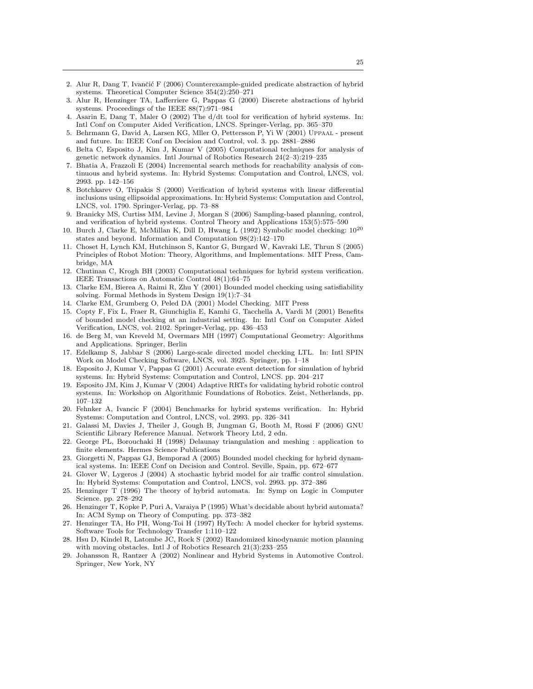- 2. Alur R, Dang T, Ivančić F (2006) Counterexample-guided predicate abstraction of hybrid systems. Theoretical Computer Science 354(2):250–271
- 3. Alur R, Henzinger TA, Lafferriere G, Pappas G (2000) Discrete abstractions of hybrid systems. Proceedings of the IEEE 88(7):971–984
- 4. Asarin E, Dang T, Maler O (2002) The d/dt tool for verification of hybrid systems. In: Intl Conf on Computer Aided Verification, LNCS. Springer-Verlag, pp. 365–370
- 5. Behrmann G, David A, Larsen KG, Mller O, Pettersson P, Yi W (2001) Uppaal present and future. In: IEEE Conf on Decision and Control, vol. 3. pp. 2881–2886
- 6. Belta C, Esposito J, Kim J, Kumar V (2005) Computational techniques for analysis of genetic network dynamics. Intl Journal of Robotics Research 24(2–3):219–235
- 7. Bhatia A, Frazzoli E (2004) Incremental search methods for reachability analysis of continuous and hybrid systems. In: Hybrid Systems: Computation and Control, LNCS, vol. 2993. pp. 142–156
- 8. Botchkarev O, Tripakis S (2000) Verification of hybrid systems with linear differential inclusions using ellipsoidal approximations. In: Hybrid Systems: Computation and Control, LNCS, vol. 1790. Springer-Verlag, pp. 73–88
- 9. Branicky MS, Curtiss MM, Levine J, Morgan S (2006) Sampling-based planning, control, and verification of hybrid systems. Control Theory and Applications 153(5):575–590
- 10. Burch J, Clarke E, McMillan K, Dill D, Hwang L (1992) Symbolic model checking: 10<sup>20</sup> states and beyond. Information and Computation 98(2):142–170
- 11. Choset H, Lynch KM, Hutchinson S, Kantor G, Burgard W, Kavraki LE, Thrun S (2005) Principles of Robot Motion: Theory, Algorithms, and Implementations. MIT Press, Cambridge, MA
- 12. Chutinan C, Krogh BH (2003) Computational techniques for hybrid system verification. IEEE Transactions on Automatic Control 48(1):64–75
- 13. Clarke EM, Bierea A, Raimi R, Zhu Y (2001) Bounded model checking using satisfiability solving. Formal Methods in System Design 19(1):7–34
- 14. Clarke EM, Grumberg O, Peled DA (2001) Model Checking. MIT Press
- 15. Copty F, Fix L, Fraer R, Giunchiglia E, Kamhi G, Tacchella A, Vardi M (2001) Benefits of bounded model checking at an industrial setting. In: Intl Conf on Computer Aided Verification, LNCS, vol. 2102. Springer-Verlag, pp. 436–453
- 16. de Berg M, van Kreveld M, Overmars MH (1997) Computational Geometry: Algorithms and Applications. Springer, Berlin
- 17. Edelkamp S, Jabbar S (2006) Large-scale directed model checking LTL. In: Intl SPIN Work on Model Checking Software, LNCS, vol. 3925. Springer, pp. 1–18
- 18. Esposito J, Kumar V, Pappas G (2001) Accurate event detection for simulation of hybrid systems. In: Hybrid Systems: Computation and Control, LNCS. pp. 204–217
- 19. Esposito JM, Kim J, Kumar V (2004) Adaptive RRTs for validating hybrid robotic control systems. In: Workshop on Algorithmic Foundations of Robotics. Zeist, Netherlands, pp. 107–132
- 20. Fehnker A, Ivancic F (2004) Benchmarks for hybrid systems verification. In: Hybrid Systems: Computation and Control, LNCS, vol. 2993. pp. 326–341
- 21. Galassi M, Davies J, Theiler J, Gough B, Jungman G, Booth M, Rossi F (2006) GNU Scientific Library Reference Manual. Network Theory Ltd, 2 edn.
- 22. George PL, Borouchaki H (1998) Delaunay triangulation and meshing : application to finite elements. Hermes Science Publications
- 23. Giorgetti N, Pappas GJ, Bemporad A (2005) Bounded model checking for hybrid dynamical systems. In: IEEE Conf on Decision and Control. Seville, Spain, pp. 672–677
- 24. Glover W, Lygeros J (2004) A stochastic hybrid model for air traffic control simulation. In: Hybrid Systems: Computation and Control, LNCS, vol. 2993. pp. 372–386
- 25. Henzinger T (1996) The theory of hybrid automata. In: Symp on Logic in Computer Science. pp. 278–292
- 26. Henzinger T, Kopke P, Puri A, Varaiya P (1995) What's decidable about hybrid automata? In: ACM Symp on Theory of Computing. pp. 373–382
- 27. Henzinger TA, Ho PH, Wong-Toi H (1997) HyTech: A model checker for hybrid systems. Software Tools for Technology Transfer 1:110–122
- 28. Hsu D, Kindel R, Latombe JC, Rock S (2002) Randomized kinodynamic motion planning with moving obstacles. Intl J of Robotics Research 21(3):233–255
- 29. Johansson R, Rantzer A (2002) Nonlinear and Hybrid Systems in Automotive Control. Springer, New York, NY